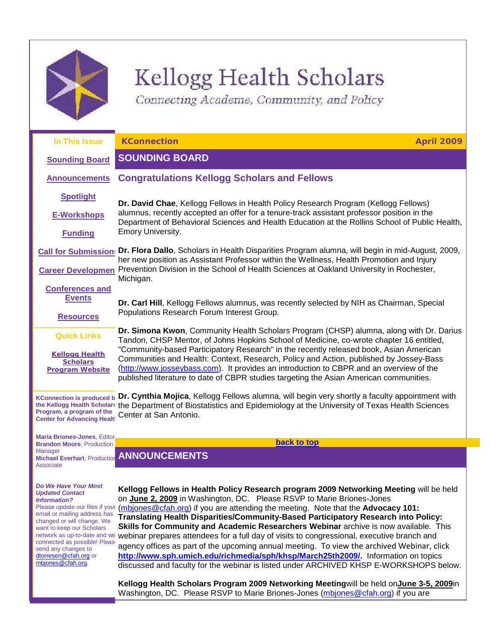

# Kellogg Health Scholars

<span id="page-0-2"></span><span id="page-0-0"></span>Connecting Academe, Community, and Policy

| In This Issue                                                                                       | <b>KConnection</b><br><b>April 2009</b>                                                                                                                                                                                                                                                                                                                                                                                                                                                                                                                     |  |
|-----------------------------------------------------------------------------------------------------|-------------------------------------------------------------------------------------------------------------------------------------------------------------------------------------------------------------------------------------------------------------------------------------------------------------------------------------------------------------------------------------------------------------------------------------------------------------------------------------------------------------------------------------------------------------|--|
| <b>Sounding Board</b>                                                                               | <b>SOUNDING BOARD</b>                                                                                                                                                                                                                                                                                                                                                                                                                                                                                                                                       |  |
| <b>Announcements</b>                                                                                | <b>Congratulations Kellogg Scholars and Fellows</b>                                                                                                                                                                                                                                                                                                                                                                                                                                                                                                         |  |
| <b>Spotlight</b>                                                                                    | Dr. David Chae, Kellogg Fellows in Health Policy Research Program (Kellogg Fellows)                                                                                                                                                                                                                                                                                                                                                                                                                                                                         |  |
| <b>E-Workshops</b>                                                                                  | alumnus, recently accepted an offer for a tenure-track assistant professor position in the<br>Department of Behavioral Sciences and Health Education at the Rollins School of Public Health,                                                                                                                                                                                                                                                                                                                                                                |  |
| <b>Funding</b>                                                                                      | Emory University.                                                                                                                                                                                                                                                                                                                                                                                                                                                                                                                                           |  |
| <b>Call for Submission:</b>                                                                         | Dr. Flora Dallo, Scholars in Health Disparities Program alumna, will begin in mid-August, 2009,<br>her new position as Assistant Professor within the Wellness, Health Promotion and Injury<br>Prevention Division in the School of Health Sciences at Oakland University in Rochester,<br>Michigan.                                                                                                                                                                                                                                                        |  |
| <b>Career Developmen</b>                                                                            |                                                                                                                                                                                                                                                                                                                                                                                                                                                                                                                                                             |  |
| <b>Conferences and</b>                                                                              |                                                                                                                                                                                                                                                                                                                                                                                                                                                                                                                                                             |  |
| <b>Events</b>                                                                                       | Dr. Carl Hill, Kellogg Fellows alumnus, was recently selected by NIH as Chairman, Special<br>Populations Research Forum Interest Group.                                                                                                                                                                                                                                                                                                                                                                                                                     |  |
| <b>Resources</b>                                                                                    |                                                                                                                                                                                                                                                                                                                                                                                                                                                                                                                                                             |  |
| <b>Quick Links</b>                                                                                  | Dr. Simona Kwon, Community Health Scholars Program (CHSP) alumna, along with Dr. Darius<br>Tandon, CHSP Mentor, of Johns Hopkins School of Medicine, co-wrote chapter 16 entitled,<br>"Community-based Participatory Research" in the recently released book, Asian American<br>Communities and Health: Context, Research, Policy and Action, published by Jossey-Bass<br>(http://www.josseybass.com). It provides an introduction to CBPR and an overview of the<br>published literature to date of CBPR studies targeting the Asian American communities. |  |
| <b>Kellogg Health</b><br><b>Scholars</b><br><b>Program Website</b>                                  |                                                                                                                                                                                                                                                                                                                                                                                                                                                                                                                                                             |  |
| <b>KConnection is produced b</b><br>Program, a program of the<br><b>Center for Advancing Healtl</b> | Dr. Cynthia Mojica, Kellogg Fellows alumna, will begin very shortly a faculty appointment with<br>the Kellogg Health Scholars the Department of Biostatistics and Epidemiology at the University of Texas Health Sciences<br>Center at San Antonio.                                                                                                                                                                                                                                                                                                         |  |
| <b>Maria Briones-Jones. Editor</b>                                                                  |                                                                                                                                                                                                                                                                                                                                                                                                                                                                                                                                                             |  |
| <b>Brandon Moore, Production</b>                                                                    | back to top                                                                                                                                                                                                                                                                                                                                                                                                                                                                                                                                                 |  |
| <b>Manager</b>                                                                                      | Michael Everhart, Production ANNOUNCEMENTS                                                                                                                                                                                                                                                                                                                                                                                                                                                                                                                  |  |

*Do We Have Your Most* 

<span id="page-0-1"></span>**Associate** 

*Updated Contact Information?*

email or mailing address has changed or will change. We want to keep our Scholars connected as possible! Please send any changes to [dtorresen@cfah.org](mailto:dtorresen@cfah.org) or [mbjones@cfah.org.](mailto:mbjones@cfah.org) 

Please update our files if your [\(mbjones@cfah.org\)](mailto:mbjones@cfah.org) if you are attending the meeting. Note that the Advocacy 101: network as up-to-date and we webinar prepares attendees for a full day of visits to congressional, executive branch and **Kellogg Fellows in Health Policy Research program 2009 Networking Meeting** will be held on **June 2, 2009** in Washington, DC. Please RSVP to Marie Briones-Jones **Translating Health Disparities/Community-Based Participatory Research into Policy: Skills for Community and Academic Researchers Webinar** archive is now available. This agency offices as part of the upcoming annual meeting. To view the archived Webinar, click **[http://www.sph.umich.edu/richmedia/sph/khsp/March25th2009/.](http://rs6.net/tn.jsp?et=1102544916056&s=1&e=0013HA21dAYPZoSqhQzztV4qj1gxCap3xfAZDEIeRVav-QmDzGL-w3Pd1l4bN0sUjwV-pTqWxmiAvoBTz7HzfHMz4l_cfGNXZW7NKVnIPRw5cVPtz1KYg80cIl_NN29Xic5kPU0s2w0sc58I67AhxiRTHKghiboaumCg71byXYdqsU=)** Information on topics discussed and faculty for the webinar is listed under ARCHIVED KHSP E-WORKSHOPS below.

> **Kellogg Health Scholars Program 2009 Networking Meeting**will be held on**June 3-5, 2009**in Washington, DC. Please RSVP to Marie Briones-Jones [\(mbjones@cfah.org\)](mailto:mbjones@cfah.org) if you are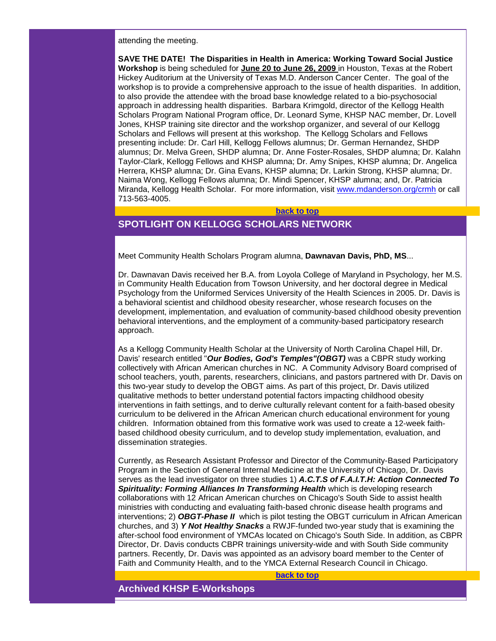attending the meeting.

**SAVE THE DATE! The Disparities in Health in America: Working Toward Social Justice Workshop** is being scheduled for **June 20 to June 26, 2009** in Houston, Texas at the Robert Hickey Auditorium at the University of Texas M.D. Anderson Cancer Center. The goal of the workshop is to provide a comprehensive approach to the issue of health disparities. In addition, to also provide the attendee with the broad base knowledge related to a bio-psychosocial approach in addressing health disparities. Barbara Krimgold, director of the Kellogg Health Scholars Program National Program office, Dr. Leonard Syme, KHSP NAC member, Dr. Lovell Jones, KHSP training site director and the workshop organizer, and several of our Kellogg Scholars and Fellows will present at this workshop. The Kellogg Scholars and Fellows presenting include: Dr. Carl Hill, Kellogg Fellows alumnus; Dr. German Hernandez, SHDP alumnus; Dr. Melva Green, SHDP alumna; Dr. Anne Foster-Rosales, SHDP alumna; Dr. Kalahn Taylor-Clark, Kellogg Fellows and KHSP alumna; Dr. Amy Snipes, KHSP alumna; Dr. Angelica Herrera, KHSP alumna; Dr. Gina Evans, KHSP alumna; Dr. Larkin Strong, KHSP alumna; Dr. Naima Wong, Kellogg Fellows alumna; Dr. Mindi Spencer, KHSP alumna; and, Dr. Patricia Miranda, Kellogg Health Scholar. For more information, visit [www.mdanderson.org/crmh](http://rs6.net/tn.jsp?et=1102544916056&s=1&e=0013HA21dAYPZpSMXVW_xYx440I2npukJToL35wywC2G6mEk3Eo28QXXEwEz_2inAojIrXXL6eNkRhyd2pPFeD4zRlebpsHFjdS2XOHg3FGy0eK4cJx1lFvQA==) or call 713-563-4005.

#### **[back to top](#page-0-2)**

# <span id="page-1-0"></span>**SPOTLIGHT ON KELLOGG SCHOLARS NETWORK**

Meet Community Health Scholars Program alumna, **Dawnavan Davis, PhD, MS**...

Dr. Dawnavan Davis received her B.A. from Loyola College of Maryland in Psychology, her M.S. in Community Health Education from Towson University, and her doctoral degree in Medical Psychology from the Uniformed Services University of the Health Sciences in 2005. Dr. Davis is a behavioral scientist and childhood obesity researcher, whose research focuses on the development, implementation, and evaluation of community-based childhood obesity prevention behavioral interventions, and the employment of a community-based participatory research approach.

As a Kellogg Community Health Scholar at the University of North Carolina Chapel Hill, Dr. Davis' research entitled "*Our Bodies, God's Temples"(OBGT)* was a CBPR study working collectively with African American churches in NC. A Community Advisory Board comprised of school teachers, youth, parents, researchers, clinicians, and pastors partnered with Dr. Davis on this two-year study to develop the OBGT aims. As part of this project, Dr. Davis utilized qualitative methods to better understand potential factors impacting childhood obesity interventions in faith settings, and to derive culturally relevant content for a faith-based obesity curriculum to be delivered in the African American church educational environment for young children. Information obtained from this formative work was used to create a 12-week faithbased childhood obesity curriculum, and to develop study implementation, evaluation, and dissemination strategies.

Currently, as Research Assistant Professor and Director of the Community-Based Participatory Program in the Section of General Internal Medicine at the University of Chicago, Dr. Davis serves as the lead investigator on three studies 1) *A.C.T.S of F.A.I.T.H: Action Connected To Spirituality: Forming Alliances In Transforming Health* which is developing research collaborations with 12 African American churches on Chicago's South Side to assist health ministries with conducting and evaluating faith-based chronic disease health programs and interventions; 2) *OBGT-Phase II* which is pilot testing the OBGT curriculum in African American churches, and 3) *Y Not Healthy Snacks* a RWJF-funded two-year study that is examining the after-school food environment of YMCAs located on Chicago's South Side. In addition, as CBPR Director, Dr. Davis conducts CBPR trainings university-wide and with South Side community partners. Recently, Dr. Davis was appointed as an advisory board member to the Center of Faith and Community Health, and to the YMCA External Research Council in Chicago.

**[back to top](#page-0-2)**

<span id="page-1-1"></span>**Archived KHSP E-Workshops**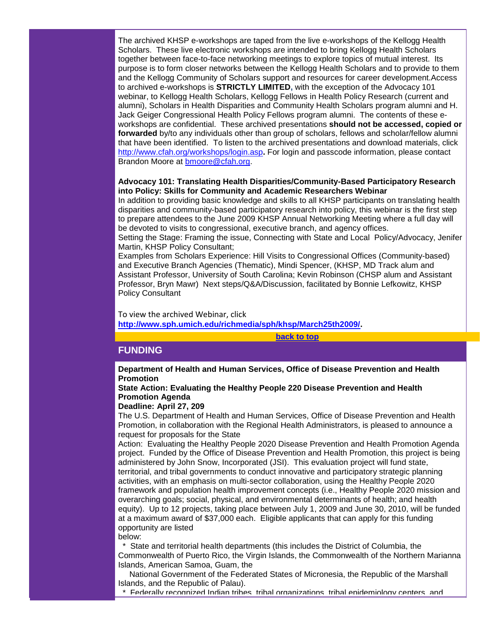The archived KHSP e-workshops are taped from the live e-workshops of the Kellogg Health Scholars. These live electronic workshops are intended to bring Kellogg Health Scholars together between face-to-face networking meetings to explore topics of mutual interest. Its purpose is to form closer networks between the Kellogg Health Scholars and to provide to them and the Kellogg Community of Scholars support and resources for career development.Access to archived e-workshops is **STRICTLY LIMITED,** with the exception of the Advocacy 101 webinar, to Kellogg Health Scholars, Kellogg Fellows in Health Policy Research (current and alumni), Scholars in Health Disparities and Community Health Scholars program alumni and H. Jack Geiger Congressional Health Policy Fellows program alumni. The contents of these eworkshops are confidential. These archived presentations **should not be accessed, copied or forwarded** by/to any individuals other than group of scholars, fellows and scholar/fellow alumni that have been identified. To listen to the archived presentations and download materials, click [http://www.cfah.org/workshops/login.asp](http://rs6.net/tn.jsp?et=1102544916056&s=1&e=0013HA21dAYPZr851CVeJ1O-Pl7L6Bu6JrriS8FOj0okLs14H_7V6FEPONJYC0mPhf9IqsObv2NB4HpnrCRORC6TbnucCWPETDenqr42KYQzyon0jX33ELgusYGnUIXj7H3TC7j64d1pG0=)**.** For login and passcode information, please contact Brandon Moore at [bmoore@cfah.org.](mailto:bmoore@cfah.org)

## **Advocacy 101: Translating Health Disparities/Community-Based Participatory Research into Policy: Skills for Community and Academic Researchers Webinar**

In addition to providing basic knowledge and skills to all KHSP participants on translating health disparities and community-based participatory research into policy, this webinar is the first step to prepare attendees to the June 2009 KHSP Annual Networking Meeting where a full day will be devoted to visits to congressional, executive branch, and agency offices.

Setting the Stage: Framing the issue, Connecting with State and Local Policy/Advocacy, Jenifer Martin, KHSP Policy Consultant;

Examples from Scholars Experience: Hill Visits to Congressional Offices (Community-based) and Executive Branch Agencies (Thematic), Mindi Spencer, (KHSP, MD Track alum and Assistant Professor, University of South Carolina; Kevin Robinson (CHSP alum and Assistant Professor, Bryn Mawr) Next steps/Q&A/Discussion, facilitated by Bonnie Lefkowitz, KHSP Policy Consultant

To view the archived Webinar, click **[http://www.sph.umich.edu/richmedia/sph/khsp/March25th2009/.](http://rs6.net/tn.jsp?et=1102544916056&s=1&e=0013HA21dAYPZoSqhQzztV4qj1gxCap3xfAZDEIeRVav-QmDzGL-w3Pd1l4bN0sUjwV-pTqWxmiAvoBTz7HzfHMz4l_cfGNXZW7NKVnIPRw5cVPtz1KYg80cIl_NN29Xic5kPU0s2w0sc58I67AhxiRTHKghiboaumCg71byXYdqsU=)**

**[back to top](#page-0-2)**

# <span id="page-2-0"></span>**FUNDING**

**Department of Health and Human Services, Office of Disease Prevention and Health Promotion**

# **State Action: Evaluating the Healthy People 220 Disease Prevention and Health Promotion Agenda**

#### **Deadline: April 27, 209**

The U.S. Department of Health and Human Services, Office of Disease Prevention and Health Promotion, in collaboration with the Regional Health Administrators, is pleased to announce a request for proposals for the State

Action: Evaluating the Healthy People 2020 Disease Prevention and Health Promotion Agenda project. Funded by the Office of Disease Prevention and Health Promotion, this project is being administered by John Snow, Incorporated (JSI). This evaluation project will fund state, territorial, and tribal governments to conduct innovative and participatory strategic planning activities, with an emphasis on multi-sector collaboration, using the Healthy People 2020 framework and population health improvement concepts (i.e., Healthy People 2020 mission and overarching goals; social, physical, and environmental determinants of health; and health equity). Up to 12 projects, taking place between July 1, 2009 and June 30, 2010, will be funded at a maximum award of \$37,000 each. Eligible applicants that can apply for this funding opportunity are listed below:

State and territorial health departments (this includes the District of Columbia, the Commonwealth of Puerto Rico, the Virgin Islands, the Commonwealth of the Northern Marianna Islands, American Samoa, Guam, the

 National Government of the Federated States of Micronesia, the Republic of the Marshall Islands, and the Republic of Palau).

\* Federally recognized Indian tribes, tribal organizations, tribal epidemiology centers, and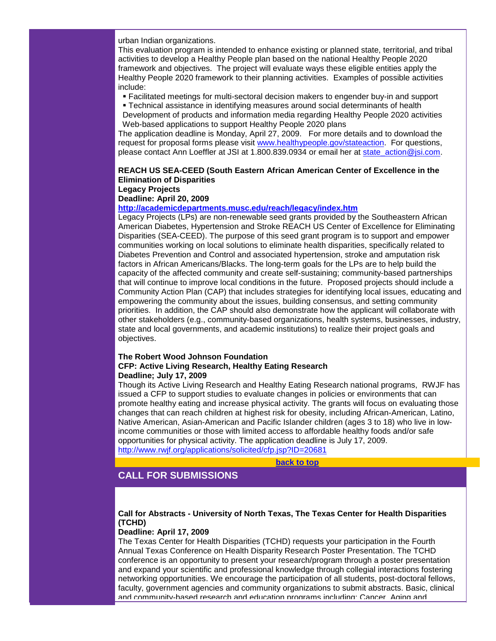urban Indian organizations.

This evaluation program is intended to enhance existing or planned state, territorial, and tribal activities to develop a Healthy People plan based on the national Healthy People 2020 framework and objectives. The project will evaluate ways these eligible entities apply the Healthy People 2020 framework to their planning activities. Examples of possible activities include:

- Facilitated meetings for multi-sectoral decision makers to engender buy-in and support
- Technical assistance in identifying measures around social determinants of health
- Development of products and information media regarding Healthy People 2020 activities Web-based applications to support Healthy People 2020 plans

The application deadline is Monday, April 27, 2009. For more details and to download the request for proposal forms please visit [www.healthypeople.gov/stateaction.](http://rs6.net/tn.jsp?et=1102544916056&s=1&e=0013HA21dAYPZrjlNfUbOpjsYL4vE1Jngeo2zPOcd63OC9VM9OcOLhzUMKMJbjZ3yM18MzYQLxdttDviMAuzoo9wuk60yZ3fSVYG6QtXda89EL9wj0l0GXubXfdLE7e8Esu) For questions, please contact Ann Loeffler at JSI at 1.800.839.0934 or email her at [state\\_action@jsi.com.](mailto:state_action@jsi.com)

## **REACH US SEA-CEED (South Eastern African American Center of Excellence in the Elimination of Disparities Legacy Projects**

# **Deadline: April 20, 2009**

#### **[http://academicdepartments.musc.edu/reach/legacy/index.htm](http://rs6.net/tn.jsp?et=1102544916056&s=1&e=0013HA21dAYPZq_-IUozBigDoQyio5D05WZFcxOBW-xSjbIC-pdeeSe-_pxHaKtR1yJZb62UGHnCg6Cw-Zr1sBZQ9fQR8yIYgHSndDCyzdrRKFW1my3VI2q5dDdYWDhWsteaq8KZrl_akdF7YTmSbNZVjWVQeo1DOiQ)**

Legacy Projects (LPs) are non-renewable seed grants provided by the Southeastern African American Diabetes, Hypertension and Stroke REACH US Center of Excellence for Eliminating Disparities (SEA-CEED). The purpose of this seed grant program is to support and empower communities working on local solutions to eliminate health disparities, specifically related to Diabetes Prevention and Control and associated hypertension, stroke and amputation risk factors in African Americans/Blacks. The long-term goals for the LPs are to help build the capacity of the affected community and create self-sustaining; community-based partnerships that will continue to improve local conditions in the future. Proposed projects should include a Community Action Plan (CAP) that includes strategies for identifying local issues, educating and empowering the community about the issues, building consensus, and setting community priorities. In addition, the CAP should also demonstrate how the applicant will collaborate with other stakeholders (e.g., community-based organizations, health systems, businesses, industry, state and local governments, and academic institutions) to realize their project goals and objectives.

#### **The Robert Wood Johnson Foundation CFP: Active Living Research, Healthy Eating Research Deadline; July 17, 2009**

Though its Active Living Research and Healthy Eating Research national programs, RWJF has issued a CFP to support studies to evaluate changes in policies or environments that can promote healthy eating and increase physical activity. The grants will focus on evaluating those changes that can reach children at highest risk for obesity, including African-American, Latino, Native American, Asian-American and Pacific Islander children (ages 3 to 18) who live in lowincome communities or those with limited access to affordable healthy foods and/or safe opportunities for physical activity. The application deadline is July 17, 2009. [http://www.rwjf.org/applications/solicited/cfp.jsp?ID=20681](http://rs6.net/tn.jsp?et=1102544916056&s=1&e=0013HA21dAYPZr2lInwckJS-XtteTpMFtKdkO6pWtuVnfmAWNZQcrAnoeBUxQ3tTyMHuN5H_Zj4ulOoYjMPQCtiM-w5nIC4WrQvQ8SYv-0h9M4PoBwOw105j9LeI9DP7kQjY0RlF37BhyAzmHEkuSicnoeJ5hLYQUmkSdJbCV_ucOs=)

**[back to top](#page-0-2)**

# <span id="page-3-0"></span>**CALL FOR SUBMISSIONS**

# **Call for Abstracts - University of North Texas, The Texas Center for Health Disparities (TCHD)**

# **Deadline: April 17, 2009**

The Texas Center for Health Disparities (TCHD) requests your participation in the Fourth Annual Texas Conference on Health Disparity Research Poster Presentation. The TCHD conference is an opportunity to present your research/program through a poster presentation and expand your scientific and professional knowledge through collegial interactions fostering networking opportunities. We encourage the participation of all students, post-doctoral fellows, faculty, government agencies and community organizations to submit abstracts. Basic, clinical and community-based research and education programs including: Cancer, Aging and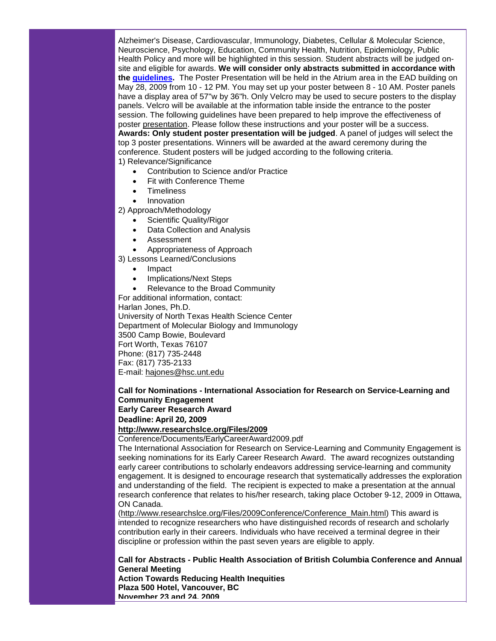Alzheimer's Disease, Cardiovascular, Immunology, Diabetes, Cellular & Molecular Science, Neuroscience, Psychology, Education, Community Health, Nutrition, Epidemiology, Public Health Policy and more will be highlighted in this session. Student abstracts will be judged onsite and eligible for awards. **We will consider only abstracts submitted in accordance with the [guidelines.](http://rs6.net/tn.jsp?et=1102544916056&s=1&e=0013HA21dAYPZqGmZG8DK_8PX-1vBB64W6pE-FO_7Ydqlf4RCH-6iIm2NUeTnraHllzIjGJM2CEjFLc0IydvpA97qgCc4XANMN_aAlt49cdMzNQA6rPRqsRUWR4RZ_68LrLWOFCp6L3_FcqFj8FJ07M1wkSVE4SQdOdVkuJEMVKldhmIsUL4Zs5vgit_M34h6pEH3V9zSLI7sf2tls05_6X2Q==)** The Poster Presentation will be held in the Atrium area in the EAD building on May 28, 2009 from 10 - 12 PM. You may set up your poster between 8 - 10 AM. Poster panels have a display area of 57"w by 36"h. Only Velcro may be used to secure posters to the display panels. Velcro will be available at the information table inside the entrance to the poster session. The following guidelines have been prepared to help improve the effectiveness of poster [presentation.](http://rs6.net/tn.jsp?et=1102544916056&s=1&e=0013HA21dAYPZqrGNlf50Btd6ULNvwL9RYhnQtwd2CisNU9JHSjlPifgwM9miF72Pw53rkW6AoJBRQpb_ZxtJr7i4ZHTGigXNO2XNIdl-LxSCeZApcvgFzQt2QAJSINn4NVK-DS7dgoUbA=) Please follow these instructions and your poster will be a success. **Awards: Only student poster presentation will be judged**. A panel of judges will select the top 3 poster presentations. Winners will be awarded at the award ceremony during the conference. Student posters will be judged according to the following criteria. 1) Relevance/Significance

- Contribution to Science and/or Practice
- Fit with Conference Theme
- **Timeliness**
- **Innovation**

2) Approach/Methodology

- Scientific Quality/Rigor
- Data Collection and Analysis
- **Assessment**
- Appropriateness of Approach

3) Lessons Learned/Conclusions

- Impact
- Implications/Next Steps
- Relevance to the Broad Community

For additional information, contact:

Harlan Jones, Ph.D.

University of North Texas Health Science Center Department of Molecular Biology and Immunology 3500 Camp Bowie, Boulevard Fort Worth, Texas 76107 Phone: (817) 735-2448 Fax: (817) 735-2133 E-mail: [hajones@hsc.unt.edu](mailto:hajones@hsc.unt.edu)

**Call for Nominations - International Association for Research on Service-Learning and Community Engagement Early Career Research Award**

# **Deadline: April 20, 2009**

# **[http://www.researchslce.org/Files/2009](http://rs6.net/tn.jsp?et=1102544916056&s=1&e=0013HA21dAYPZqGlgpNIoQJmHmP81JJGYtwPVOurO3TrER5bDmEp1la4Q84eNfFEXklr9jxK67iPlWiRaHCF16Dhuc9RDsSozC8RlYqJ3YMcfHzPZ9IaQKVL1DJyVZ9B3bAu6zbml2KAaD7w0J0ASIP4MpL7DJL5VaQVc_ZaivG0PoVajsZblhVdbieFCHhEhiKrioqz0iOxTg=)**

Conference/Documents/EarlyCareerAward2009.pdf

The International Association for Research on Service-Learning and Community Engagement is seeking nominations for its Early Career Research Award. The award recognizes outstanding early career contributions to scholarly endeavors addressing service-learning and community engagement. It is designed to encourage research that systematically addresses the exploration and understanding of the field. The recipient is expected to make a presentation at the annual research conference that relates to his/her research, taking place October 9-12, 2009 in Ottawa, ON Canada.

[\(http://www.researchslce.org/Files/2009Conference/Conference\\_Main.html\)](http://rs6.net/tn.jsp?et=1102544916056&s=1&e=0013HA21dAYPZogGwNVFTZiK-5p5gWSGeNmGbKJwoUaClC5QcrVAeSMcGjZRryreR5UptGTxpuBG_jo3IpIuXI3a5SHuoMRLr1sPo6YNehV16eWj5wvgLU8-CqU8pyM1jaoM7Ax6HvXHb_Ki3E2xZUzhrBuLNfOs_LoLgSQO_PMVmmwue1hFj4PBg==) This award is intended to recognize researchers who have distinguished records of research and scholarly contribution early in their careers. Individuals who have received a terminal degree in their discipline or profession within the past seven years are eligible to apply.

**Call for Abstracts - Public Health Association of British Columbia Conference and Annual General Meeting** 

**Action Towards Reducing Health Inequities Plaza 500 Hotel, Vancouver, BC November 23 and 24, 2009**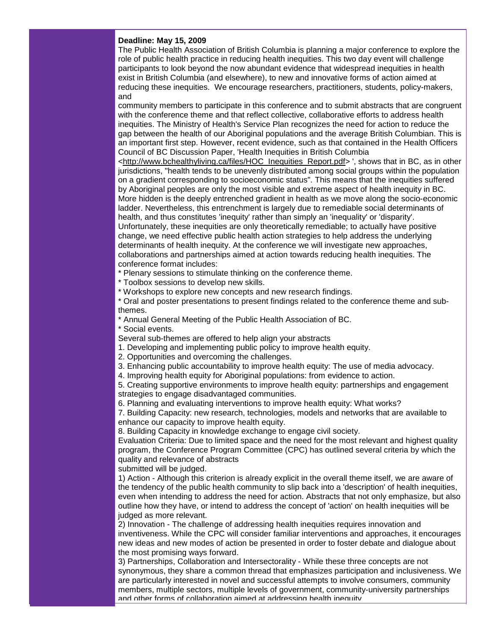#### **Deadline: May 15, 2009**

The Public Health Association of British Columbia is planning a major conference to explore the role of public health practice in reducing health inequities. This two day event will challenge participants to look beyond the now abundant evidence that widespread inequities in health exist in British Columbia (and elsewhere), to new and innovative forms of action aimed at reducing these inequities. We encourage researchers, practitioners, students, policy-makers, and

community members to participate in this conference and to submit abstracts that are congruent with the conference theme and that reflect collective, collaborative efforts to address health inequities. The Ministry of Health's Service Plan recognizes the need for action to reduce the gap between the health of our Aboriginal populations and the average British Columbian. This is an important first step. However, recent evidence, such as that contained in the Health Officers Council of BC Discussion Paper, 'Health Inequities in British Columbia

[<http://www.bchealthyliving.ca/files/HOC\\_Inequities\\_Report.pdf>](http://rs6.net/tn.jsp?et=1102544916056&s=1&e=0013HA21dAYPZqakzioNWTDULEym7boDbMC3_ZCQT4PBifw7dSDahaYTHj8SHicTBgFeaXTs1xsMsNUM9ZxC7zd9lslYd1YXA57Jn2bbplpEeptHtSm3xM59aKyQDSuGp8YvB12MrOrZO84D2aHPqdPFT-QPSzj9FKr) ', shows that in BC, as in other jurisdictions, "health tends to be unevenly distributed among social groups within the population on a gradient corresponding to socioeconomic status". This means that the inequities suffered by Aboriginal peoples are only the most visible and extreme aspect of health inequity in BC. More hidden is the deeply entrenched gradient in health as we move along the socio-economic ladder. Nevertheless, this entrenchment is largely due to remediable social determinants of health, and thus constitutes 'inequity' rather than simply an 'inequality' or 'disparity'. Unfortunately, these inequities are only theoretically remediable; to actually have positive change, we need effective public health action strategies to help address the underlying determinants of health inequity. At the conference we will investigate new approaches, collaborations and partnerships aimed at action towards reducing health inequities. The conference format includes:

\* Plenary sessions to stimulate thinking on the conference theme.

\* Toolbox sessions to develop new skills.

\* Workshops to explore new concepts and new research findings.

\* Oral and poster presentations to present findings related to the conference theme and subthemes.

\* Annual General Meeting of the Public Health Association of BC.

\* Social events.

Several sub-themes are offered to help align your abstracts

1. Developing and implementing public policy to improve health equity.

2. Opportunities and overcoming the challenges.

3. Enhancing public accountability to improve health equity: The use of media advocacy.

4. Improving health equity for Aboriginal populations: from evidence to action.

5. Creating supportive environments to improve health equity: partnerships and engagement strategies to engage disadvantaged communities.

6. Planning and evaluating interventions to improve health equity: What works?

7. Building Capacity: new research, technologies, models and networks that are available to enhance our capacity to improve health equity.

8. Building Capacity in knowledge exchange to engage civil society.

Evaluation Criteria: Due to limited space and the need for the most relevant and highest quality program, the Conference Program Committee (CPC) has outlined several criteria by which the quality and relevance of abstracts

submitted will be judged.

1) Action - Although this criterion is already explicit in the overall theme itself, we are aware of the tendency of the public health community to slip back into a 'description' of health inequities, even when intending to address the need for action. Abstracts that not only emphasize, but also outline how they have, or intend to address the concept of 'action' on health inequities will be judged as more relevant.

2) Innovation - The challenge of addressing health inequities requires innovation and inventiveness. While the CPC will consider familiar interventions and approaches, it encourages new ideas and new modes of action be presented in order to foster debate and dialogue about the most promising ways forward.

3) Partnerships, Collaboration and Intersectorality - While these three concepts are not synonymous, they share a common thread that emphasizes participation and inclusiveness. We are particularly interested in novel and successful attempts to involve consumers, community members, multiple sectors, multiple levels of government, community-university partnerships and other forms of collaboration aimed at addressing health inequity.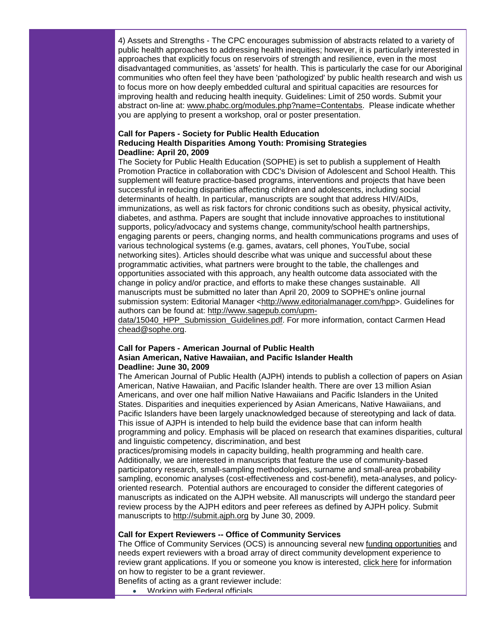4) Assets and Strengths - The CPC encourages submission of abstracts related to a variety of public health approaches to addressing health inequities; however, it is particularly interested in approaches that explicitly focus on reservoirs of strength and resilience, even in the most disadvantaged communities, as 'assets' for health. This is particularly the case for our Aboriginal communities who often feel they have been 'pathologized' by public health research and wish us to focus more on how deeply embedded cultural and spiritual capacities are resources for improving health and reducing health inequity. Guidelines: Limit of 250 words. Submit your abstract on-line at: [www.phabc.org/modules.php?name=Contentabs.](http://rs6.net/tn.jsp?et=1102544916056&s=1&e=0013HA21dAYPZr0JKjdoPOHa-TyPyep6wlKdlAkGyroen1qvuHxFoYlSPXYvQ4GiLA9O1wOf-Te2uEcr61anZ6nUiR2gnMZsKuAazsmkgjub8MHbNlsxzSX10kxi-ON-Nlfiaryfksx8ErVJFBiEes7hg==) Please indicate whether you are applying to present a workshop, oral or poster presentation.

## **Call for Papers - Society for Public Health Education Reducing Health Disparities Among Youth: Promising Strategies Deadline: April 20, 2009**

The Society for Public Health Education (SOPHE) is set to publish a supplement of Health Promotion Practice in collaboration with CDC's Division of Adolescent and School Health. This supplement will feature practice-based programs, interventions and projects that have been successful in reducing disparities affecting children and adolescents, including social determinants of health. In particular, manuscripts are sought that address HIV/AIDs, immunizations, as well as risk factors for chronic conditions such as obesity, physical activity, diabetes, and asthma. Papers are sought that include innovative approaches to institutional supports, policy/advocacy and systems change, community/school health partnerships, engaging parents or peers, changing norms, and health communications programs and uses of various technological systems (e.g. games, avatars, cell phones, YouTube, social networking sites). Articles should describe what was unique and successful about these programmatic activities, what partners were brought to the table, the challenges and opportunities associated with this approach, any health outcome data associated with the change in policy and/or practice, and efforts to make these changes sustainable. All manuscripts must be submitted no later than April 20, 2009 to SOPHE's online journal submission system: Editorial Manager [<http://www.editorialmanager.com/hpp>](http://rs6.net/tn.jsp?et=1102544916056&s=1&e=0013HA21dAYPZq6yZ8uGTn3q1Y4l9oK28AFUj6jxuzgmL-GLjeDKq9c2wwdbOcGdGdJ3Iff9D5adofj3ZIX9u4K2A-iU-kvV7Sir5alF4ya3L9Pe0iXoJbz_YgTkTmfda6w). Guidelines for authors can be found at: [http://www.sagepub.com/upm-](http://rs6.net/tn.jsp?et=1102544916056&s=1&e=0013HA21dAYPZo-pf74H1-TtH-9cPaOq2m5z9fWMkT06GxzlVnXGf07SFnkM7Xqz-U3Zn7uTdzNS5BQy2qwwMdLeZUa80wfS8MESw7P8_bRo_BJDrmYdVvH0oJtztTJd4_QWXCLg_1ZasPQnRd0wEwYUDxUALAMX3jGmGjuaxS3QUg=)

[data/15040\\_HPP\\_Submission\\_Guidelines.pdf.](http://rs6.net/tn.jsp?et=1102544916056&s=1&e=0013HA21dAYPZo-pf74H1-TtH-9cPaOq2m5z9fWMkT06GxzlVnXGf07SFnkM7Xqz-U3Zn7uTdzNS5BQy2qwwMdLeZUa80wfS8MESw7P8_bRo_BJDrmYdVvH0oJtztTJd4_QWXCLg_1ZasPQnRd0wEwYUDxUALAMX3jGmGjuaxS3QUg=) For more information, contact Carmen Head [chead@sophe.org.](mailto:chead@sophe.org)

## **Call for Papers - American Journal of Public Health Asian American, Native Hawaiian, and Pacific Islander Health Deadline: June 30, 2009**

The American Journal of Public Health (AJPH) intends to publish a collection of papers on Asian American, Native Hawaiian, and Pacific Islander health. There are over 13 million Asian Americans, and over one half million Native Hawaiians and Pacific Islanders in the United States. Disparities and inequities experienced by Asian Americans, Native Hawaiians, and Pacific Islanders have been largely unacknowledged because of stereotyping and lack of data. This issue of AJPH is intended to help build the evidence base that can inform health programming and policy. Emphasis will be placed on research that examines disparities, cultural and linguistic competency, discrimination, and best

practices/promising models in capacity building, health programming and health care. Additionally, we are interested in manuscripts that feature the use of community-based participatory research, small-sampling methodologies, surname and small-area probability sampling, economic analyses (cost-effectiveness and cost-benefit), meta-analyses, and policyoriented research. Potential authors are encouraged to consider the different categories of manuscripts as indicated on the AJPH website. All manuscripts will undergo the standard peer review process by the AJPH editors and peer referees as defined by AJPH policy. Submit manuscripts to [http://submit.ajph.org](http://rs6.net/tn.jsp?et=1102544916056&s=1&e=0013HA21dAYPZqJKu3O14P4rYPBfmdJ2j4ciPp1c09I6WKbFcpyJ9Ddza5qZIjvlb8kOR5dTAk8-A2-HWQKK5j13NazBbCpQ9creAE0KdevL3s=) by June 30, 2009.

# **Call for Expert Reviewers -- Office of Community Services**

The Office of Community Services (OCS) is announcing several new [funding opportunities](http://rs6.net/tn.jsp?et=1102544916056&s=1&e=0013HA21dAYPZoY3Jfj0J0sXcZOMw2K4tvsL5cWf6r-BwcgqgIA_X_KbAxpem3dJ0MFlt0uA_6ixbfMLkzpGaIPBkZbac1xZ2UZ48dkMwtGTn5qc6HMOujtS62KPv-iHNzwy33caznMa-qway1YUoRHuYAf44QLjQTh8y476FegadnwpWUPV1Q51oaQWK0AsSQOkftsV0KNwcE3yi57O0r8A_UPMwryPB0UMt0Eizp5ZMNoZev9tcG1xF_pZhrnEQ0NZ5uTYVlg7BWbsaxZguJdzw==) and needs expert reviewers with a broad array of direct community development experience to review grant applications. If you or someone you know is interested, [click here](http://rs6.net/tn.jsp?et=1102544916056&s=1&e=0013HA21dAYPZriBMDz1SY6Z5N33HZhwxa9AkTbRgu-BKtncUgsxJDiESgXlSjhLjltowCed8f1VACACCbjUzvdDb-zCd5_8Z7dUZnVgrpT2GrjZIJ2-JiL_ZaPZWdk2cEn3qllGt1n7J2P1bU8uhB1yz3aPHwgBHOZIcjigtSAcRqlPsGLvJj44Cgw-RdmghtBDRNxaJwpOmyFRLzbZbqn3MZW3H4wowZBcIAz5OSVr2pS3x9aYA5VKDWdf9NTQTe3XIfz0a6e4RBVdHwqIu9UFw==) for information on how to register to be a grant reviewer.

Benefits of acting as a grant reviewer include:

• Working with Federal officials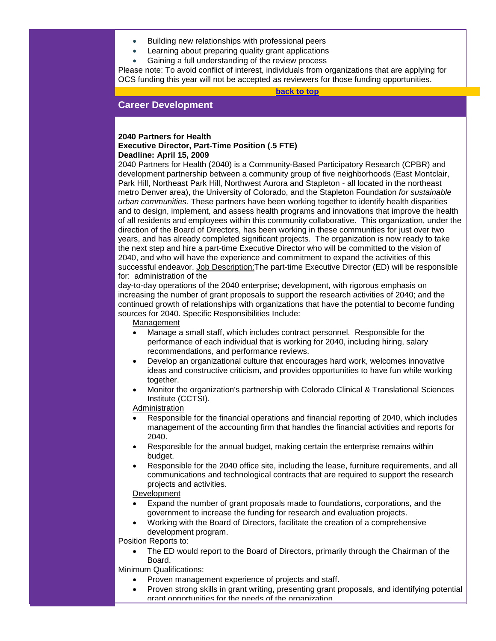- Building new relationships with professional peers
- Learning about preparing quality grant applications
- Gaining a full understanding of the review process

Please note: To avoid conflict of interest, individuals from organizations that are applying for OCS funding this year will not be accepted as reviewers for those funding opportunities.

**[back to top](#page-0-2)**

# <span id="page-7-0"></span>**Career Development**

## **2040 Partners for Health Executive Director, Part-Time Position (.5 FTE) Deadline: April 15, 2009**

2040 Partners for Health (2040) is a Community-Based Participatory Research (CPBR) and development partnership between a community group of five neighborhoods (East Montclair, Park Hill, Northeast Park Hill, Northwest Aurora and Stapleton - all located in the northeast metro Denver area), the University of Colorado, and the Stapleton Foundation *for sustainable urban communities.* These partners have been working together to identify health disparities and to design, implement, and assess health programs and innovations that improve the health of all residents and employees within this community collaborative. This organization, under the direction of the Board of Directors, has been working in these communities for just over two years, and has already completed significant projects. The organization is now ready to take the next step and hire a part-time Executive Director who will be committed to the vision of 2040, and who will have the experience and commitment to expand the activities of this successful endeavor. Job Description: The part-time Executive Director (ED) will be responsible for: administration of the

day-to-day operations of the 2040 enterprise; development, with rigorous emphasis on increasing the number of grant proposals to support the research activities of 2040; and the continued growth of relationships with organizations that have the potential to become funding sources for 2040. Specific Responsibilities Include:

#### Management

- Manage a small staff, which includes contract personnel. Responsible for the performance of each individual that is working for 2040, including hiring, salary recommendations, and performance reviews.
- Develop an organizational culture that encourages hard work, welcomes innovative ideas and constructive criticism, and provides opportunities to have fun while working together.
- Monitor the organization's partnership with Colorado Clinical & Translational Sciences Institute (CCTSI).

Administration

- Responsible for the financial operations and financial reporting of 2040, which includes management of the accounting firm that handles the financial activities and reports for 2040.
- Responsible for the annual budget, making certain the enterprise remains within budget.
- Responsible for the 2040 office site, including the lease, furniture requirements, and all communications and technological contracts that are required to support the research projects and activities.

#### Development

- Expand the number of grant proposals made to foundations, corporations, and the government to increase the funding for research and evaluation projects.
- Working with the Board of Directors, facilitate the creation of a comprehensive development program.

Position Reports to:

• The ED would report to the Board of Directors, primarily through the Chairman of the Board.

Minimum Qualifications:

- Proven management experience of projects and staff.
- Proven strong skills in grant writing, presenting grant proposals, and identifying potential grant opportunities for the needs of the organization.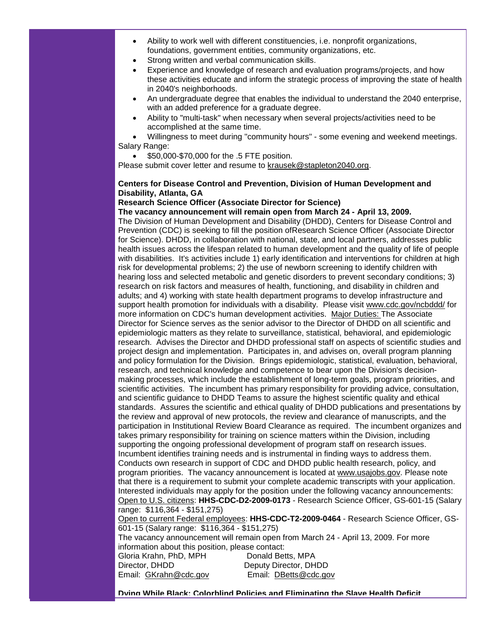- Ability to work well with different constituencies, i.e. nonprofit organizations, foundations, government entities, community organizations, etc.
- Strong written and verbal communication skills.
- Experience and knowledge of research and evaluation programs/projects, and how these activities educate and inform the strategic process of improving the state of health in 2040's neighborhoods.
- An undergraduate degree that enables the individual to understand the 2040 enterprise, with an added preference for a graduate degree.
- Ability to "multi-task" when necessary when several projects/activities need to be accomplished at the same time.

• Willingness to meet during "community hours" - some evening and weekend meetings. Salary Range:

• \$50,000-\$70,000 for the .5 FTE position.

Please submit cover letter and resume to [krausek@stapleton2040.org.](mailto:krausek@stapleton2040.org)

# **Centers for Disease Control and Prevention, Division of Human Development and Disability, Atlanta, GA**

# **Research Science Officer (Associate Director for Science)**

**The vacancy announcement will remain open from March 24 - April 13, 2009.** The Division of Human Development and Disability (DHDD), Centers for Disease Control and Prevention (CDC) is seeking to fill the position ofResearch Science Officer (Associate Director for Science). DHDD, in collaboration with national, state, and local partners, addresses public health issues across the lifespan related to human development and the quality of life of people with disabilities. It's activities include 1) early identification and interventions for children at high risk for developmental problems; 2) the use of newborn screening to identify children with hearing loss and selected metabolic and genetic disorders to prevent secondary conditions; 3) research on risk factors and measures of health, functioning, and disability in children and adults; and 4) working with state health department programs to develop infrastructure and support health promotion for individuals with a disability. Please visit [www.cdc.gov/ncbddd/](http://rs6.net/tn.jsp?et=1102544916056&s=1&e=0013HA21dAYPZqwVX-pZBpWZsC3R_FXPBj1Ev4LsTKMwYlybH5N6ZW0cEEKQajlSJFTyxpKdBXvT6BNi1L7zdhAwnmM3-LrPkbPW-VpmkXPEsEZHq2Az6-71w==) for more information on CDC's human development activities. Major Duties: The Associate Director for Science serves as the senior advisor to the Director of DHDD on all scientific and epidemiologic matters as they relate to surveillance, statistical, behavioral, and epidemiologic research. Advises the Director and DHDD professional staff on aspects of scientific studies and project design and implementation. Participates in, and advises on, overall program planning and policy formulation for the Division. Brings epidemiologic, statistical, evaluation, behavioral, research, and technical knowledge and competence to bear upon the Division's decisionmaking processes, which include the establishment of long-term goals, program priorities, and scientific activities. The incumbent has primary responsibility for providing advice, consultation, and scientific guidance to DHDD Teams to assure the highest scientific quality and ethical standards. Assures the scientific and ethical quality of DHDD publications and presentations by the review and approval of new protocols, the review and clearance of manuscripts, and the participation in Institutional Review Board Clearance as required. The incumbent organizes and takes primary responsibility for training on science matters within the Division, including supporting the ongoing professional development of program staff on research issues. Incumbent identifies training needs and is instrumental in finding ways to address them. Conducts own research in support of CDC and DHDD public health research, policy, and program priorities. The vacancy announcement is located at [www.usajobs.gov.](http://rs6.net/tn.jsp?et=1102544916056&s=1&e=0013HA21dAYPZr28E7F0FhC9Z5MBtuezRWM0ttc7DXuFwIHR77hOJC28n3-hfz3yeUJR06QFTpxUd7oqbT_dgprqZtgvVR4ZWEYlIPK8G9CBb4=) Please note that there is a requirement to submit your complete academic transcripts with your application. Interested individuals may apply for the position under the following vacancy announcements: Open to U.S. citizens: **HHS-CDC-D2-2009-0173** - Research Science Officer, GS-601-15 (Salary range: \$116,364 - \$151,275)

Open to current Federal employees: **HHS-CDC-T2-2009-0464** - Research Science Officer, GS-601-15 (Salary range: \$116,364 - \$151,275)

The vacancy announcement will remain open from March 24 - April 13, 2009. For more information about this position, please contact:

| Gloria Krahn, PhD, MPH | Donald Betts, MPA     |
|------------------------|-----------------------|
| Director, DHDD         | Deputy Director, DHDD |
| Email: GKrahn@cdc.gov  | Email: DBetts@cdc.gov |

**Dying While Black: Colorblind Policies and Eliminating the Slave Health Deficit**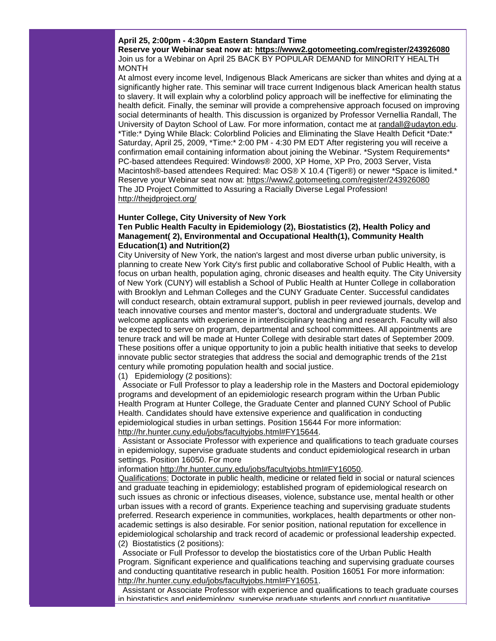#### **April 25, 2:00pm - 4:30pm Eastern Standard Time**

**Reserve your Webinar seat now at: [https://www2.gotomeeting.com/register/243926080](http://rs6.net/tn.jsp?et=1102544916056&s=1&e=0013HA21dAYPZrAbGu-zKURiFTutgwhOquCLPl_8VxeEqYXWWfOjjO6C2vVXxWaZKuF9kMkijKiiidWiD7BMDTIBMM4a-xllWoCgkKQpd8PSwdcTDTjPQRdKGEDcnFKVlJPf8mNbkCsYZdhlT1N3SpfZA==)** Join us for a Webinar on April 25 BACK BY POPULAR DEMAND for MINORITY HEALTH MONTH

At almost every income level, Indigenous Black Americans are sicker than whites and dying at a significantly higher rate. This seminar will trace current Indigenous black American health status to slavery. It will explain why a colorblind policy approach will be ineffective for eliminating the health deficit. Finally, the seminar will provide a comprehensive approach focused on improving social determinants of health. This discussion is organized by Professor Vernellia Randall, The University of Dayton School of Law. For more information, contact me at [randall@udayton.edu.](mailto:randall@udayton.edu) \*Title:\* Dying While Black: Colorblind Policies and Eliminating the Slave Health Deficit \*Date:\* Saturday, April 25, 2009, \*Time:\* 2:00 PM - 4:30 PM EDT After registering you will receive a confirmation email containing information about joining the Webinar. \*System Requirements\* PC-based attendees Required: Windows® 2000, XP Home, XP Pro, 2003 Server, Vista Macintosh®-based attendees Required: Mac OS® X 10.4 (Tiger®) or newer \*Space is limited.\* Reserve your Webinar seat now at: [https://www2.gotomeeting.com/register/243926080](http://rs6.net/tn.jsp?et=1102544916056&s=1&e=0013HA21dAYPZrAbGu-zKURiFTutgwhOquCLPl_8VxeEqYXWWfOjjO6C2vVXxWaZKuF9kMkijKiiidWiD7BMDTIBMM4a-xllWoCgkKQpd8PSwdcTDTjPQRdKGEDcnFKVlJPf8mNbkCsYZdhlT1N3SpfZA==) The JD Project Committed to Assuring a Racially Diverse Legal Profession! http://theidproject.org/

#### **Hunter College, City University of New York**

# **Ten Public Health Faculty in Epidemiology (2), Biostatistics (2), Health Policy and Management( 2), Environmental and Occupational Health(1), Community Health Education(1) and Nutrition(2)**

City University of New York, the nation's largest and most diverse urban public university, is planning to create New York City's first public and collaborative School of Public Health, with a focus on urban health, population aging, chronic diseases and health equity. The City University of New York (CUNY) will establish a School of Public Health at Hunter College in collaboration with Brooklyn and Lehman Colleges and the CUNY Graduate Center. Successful candidates will conduct research, obtain extramural support, publish in peer reviewed journals, develop and teach innovative courses and mentor master's, doctoral and undergraduate students. We welcome applicants with experience in interdisciplinary teaching and research. Faculty will also be expected to serve on program, departmental and school committees. All appointments are tenure track and will be made at Hunter College with desirable start dates of September 2009. These positions offer a unique opportunity to join a public health initiative that seeks to develop innovate public sector strategies that address the social and demographic trends of the 21st century while promoting population health and social justice.

(1) Epidemiology (2 positions):

Associate or Full Professor to play a leadership role in the Masters and Doctoral epidemiology programs and development of an epidemiologic research program within the Urban Public Health Program at Hunter College, the Graduate Center and planned CUNY School of Public Health. Candidates should have extensive experience and qualification in conducting epidemiological studies in urban settings. Position 15644 For more information: [http://hr.hunter.cuny.edu/jobs/facultyjobs.html#FY15644.](http://rs6.net/tn.jsp?et=1102544916056&s=1&e=0013HA21dAYPZouARFpZS8SwJpF0JAd7IdUSTKA6qBT-iofc8raZgU-OICLMdYHG8df4XNHS5AtWmjC4s8EJbZoAAAOlFWHNwsvXQmXUGVsuB2l7gj1PvOBWitoWmXD-LwvsxEP8f8wroxYGXcqpbEwMT_CO3CNkNFh)

Assistant or Associate Professor with experience and qualifications to teach graduate courses in epidemiology, supervise graduate students and conduct epidemiological research in urban settings. Position 16050. For more

information [http://hr.hunter.cuny.edu/jobs/facultyjobs.html#FY16050.](http://rs6.net/tn.jsp?et=1102544916056&s=1&e=0013HA21dAYPZqPZPyfimKcaqLAz5pApO42kiyVjWk568LkrIxuGMhCXG8_LjavKDL1whhU65bzShPk-ExpywuGCDtVVL0Q8lkn8-cDkiUGeAc2qSb_ma7pX0j57tCAI0um_AOMQusbbDWi768UA4g4LjSGq-v80NKr)

Qualifications: Doctorate in public health, medicine or related field in social or natural sciences and graduate teaching in epidemiology; established program of epidemiological research on such issues as chronic or infectious diseases, violence, substance use, mental health or other urban issues with a record of grants. Experience teaching and supervising graduate students preferred. Research experience in communities, workplaces, health departments or other nonacademic settings is also desirable. For senior position, national reputation for excellence in epidemiological scholarship and track record of academic or professional leadership expected. (2) Biostatistics (2 positions):

Associate or Full Professor to develop the biostatistics core of the Urban Public Health Program. Significant experience and qualifications teaching and supervising graduate courses and conducting quantitative research in public health. Position 16051 For more information: [http://hr.hunter.cuny.edu/jobs/facultyjobs.html#FY16051.](http://rs6.net/tn.jsp?et=1102544916056&s=1&e=0013HA21dAYPZoKiz-nW8crRAGfWiIcy7ANSDrgnIOcsIqnvryLAhkItbI0rGCdKZ3gSny_mXCgnKEnEQ_1zcHUGgh66s1eVZZiyzJtiXwnJlfl-uoxB4oZy4Wty4xPY8EHvAiIXJ_Kbo7yrHyp0hHtYbs4YxwvIOhM)

Assistant or Associate Professor with experience and qualifications to teach graduate courses in biostatistics and epidemiology, supervise graduate students and conduct quantitative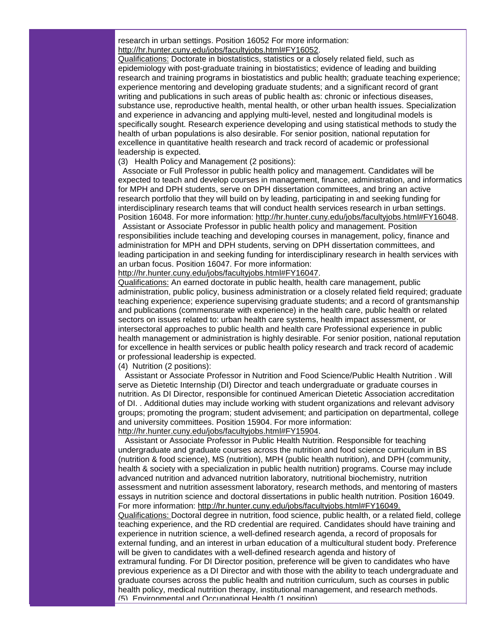research in urban settings. Position 16052 For more information: [http://hr.hunter.cuny.edu/jobs/facultyjobs.html#FY16052.](http://rs6.net/tn.jsp?et=1102544916056&s=1&e=0013HA21dAYPZrTcGcE3EYt0VQsCXToJIaeVvA2W3Dq4m1XRBKryVw6PJhVppqoWjSGdnRRzGhpDtSJIEBU0lzXVchYRFiBxUVBAYQREIrUk7ahKWhnaeAoeGD7qp4E5uRJ7POj4gsVXI6H_anCT957rzGmeqn81Qax)

Qualifications: Doctorate in biostatistics, statistics or a closely related field, such as epidemiology with post-graduate training in biostatistics; evidence of leading and building research and training programs in biostatistics and public health; graduate teaching experience; experience mentoring and developing graduate students; and a significant record of grant writing and publications in such areas of public health as: chronic or infectious diseases, substance use, reproductive health, mental health, or other urban health issues. Specialization and experience in advancing and applying multi-level, nested and longitudinal models is specifically sought. Research experience developing and using statistical methods to study the health of urban populations is also desirable. For senior position, national reputation for excellence in quantitative health research and track record of academic or professional leadership is expected.

(3) Health Policy and Management (2 positions):

Associate or Full Professor in public health policy and management. Candidates will be expected to teach and develop courses in management, finance, administration, and informatics for MPH and DPH students, serve on DPH dissertation committees, and bring an active research portfolio that they will build on by leading, participating in and seeking funding for interdisciplinary research teams that will conduct health services research in urban settings. Position 16048. For more information: [http://hr.hunter.cuny.edu/jobs/facultyjobs.html#FY16048.](http://rs6.net/tn.jsp?et=1102544916056&s=1&e=0013HA21dAYPZpVPbeURFd4WHT6XTIhZ0AN5S5wB5xsmVh9AvD1vhM4yui_PZm9wkozuIFwL3EL9pfiKmc9eAVC0BV8suPJ_sm4zFBQndM-2Z1_qMAwpFbK7afjI9P2zmsVVcdyUdlT9ti2IjWeWk7PD1FpXWnEkWEk)

Assistant or Associate Professor in public health policy and management. Position responsibilities include teaching and developing courses in management, policy, finance and administration for MPH and DPH students, serving on DPH dissertation committees, and leading participation in and seeking funding for interdisciplinary research in health services with an urban focus. Position 16047. For more information:

[http://hr.hunter.cuny.edu/jobs/facultyjobs.html#FY16047.](http://rs6.net/tn.jsp?et=1102544916056&s=1&e=0013HA21dAYPZp9KxNCNdbXZ_dF_QetA8tM26-mR8NiZaj7Hhi4WKCGxoHuN60cxcuGoj_Q_xp9pyASLxjog42geNH1J5AXQfe15eNQIirPYHPkfrlZZJxi8urpG_N6dSD6LkiES7FUQCazVeQ7J9nNOiqGBfCCHsKY)

(5) Environmental and Occupational Health (1 position)

Qualifications: An earned doctorate in public health, health care management, public administration, public policy, business administration or a closely related field required; graduate teaching experience; experience supervising graduate students; and a record of grantsmanship and publications (commensurate with experience) in the health care, public health or related sectors on issues related to: urban health care systems, health impact assessment, or intersectoral approaches to public health and health care Professional experience in public health management or administration is highly desirable. For senior position, national reputation for excellence in health services or public health policy research and track record of academic or professional leadership is expected.

(4) Nutrition (2 positions):

 Assistant or Associate Professor in Nutrition and Food Science/Public Health Nutrition . Will serve as Dietetic Internship (DI) Director and teach undergraduate or graduate courses in nutrition. As DI Director, responsible for continued American Dietetic Association accreditation of DI. . Additional duties may include working with student organizations and relevant advisory groups; promoting the program; student advisement; and participation on departmental, college and university committees. Position 15904. For more information: [http://hr.hunter.cuny.edu/jobs/facultyjobs.html#FY15904.](http://rs6.net/tn.jsp?et=1102544916056&s=1&e=0013HA21dAYPZprrzQc13Ki4yRbz6tt0PehHKORoyt-R1sJW3viO_k9S7DpRensBF-CEXMy7MNWtZvpJeWlL_VLvj7uOaSaCy0St-gGumCSVSOXoLGg-BzfCZRgZ1aZFXNaZuE87Yxll2QnziCkMkvMmvhvX1fMx59n)

 Assistant or Associate Professor in Public Health Nutrition. Responsible for teaching undergraduate and graduate courses across the nutrition and food science curriculum in BS (nutrition & food science), MS (nutrition), MPH (public health nutrition), and DPH (community, health & society with a specialization in public health nutrition) programs. Course may include advanced nutrition and advanced nutrition laboratory, nutritional biochemistry, nutrition assessment and nutrition assessment laboratory, research methods, and mentoring of masters essays in nutrition science and doctoral dissertations in public health nutrition. Position 16049. For more information: [http://hr.hunter.cuny.edu/jobs/facultyjobs.html#FY16049.](http://rs6.net/tn.jsp?et=1102544916056&s=1&e=0013HA21dAYPZrM4QkFX349dMbb5X_K_0UoN77yIrgwsospM0jM4_3Fdj404Y09oK7q6e0TdXKNjowZrWpx4G8vk50ZLi6-EJiSgL_PDITQl8xzKPPzJNB_ZLHg6_8ndaPI-Cg4XZ1tBxhedMw-dT5SL6KvxLoBP5Cl) Qualifications: Doctoral degree in nutrition, food science, public health, or a related field, college teaching experience, and the RD credential are required. Candidates should have training and experience in nutrition science, a well-defined research agenda, a record of proposals for external funding, and an interest in urban education of a multicultural student body. Preference will be given to candidates with a well-defined research agenda and history of extramural funding. For DI Director position, preference will be given to candidates who have previous experience as a DI Director and with those with the ability to teach undergraduate and graduate courses across the public health and nutrition curriculum, such as courses in public health policy, medical nutrition therapy, institutional management, and research methods.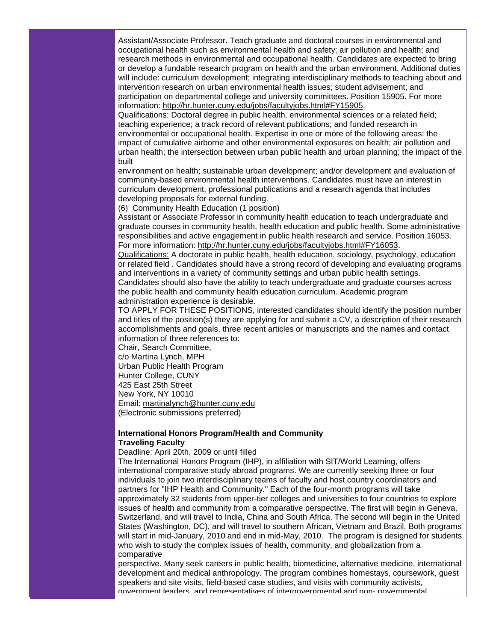Assistant/Associate Professor. Teach graduate and doctoral courses in environmental and occupational health such as environmental health and safety; air pollution and health; and research methods in environmental and occupational health. Candidates are expected to bring or develop a fundable research program on health and the urban environment. Additional duties will include: curriculum development; integrating interdisciplinary methods to teaching about and intervention research on urban environmental health issues; student advisement; and participation on departmental college and university committees. Position 15905. For more information: [http://hr.hunter.cuny.edu/jobs/facultyjobs.html#FY15905.](http://rs6.net/tn.jsp?et=1102544916056&s=1&e=0013HA21dAYPZpuG_wv5nmFJLX3JmeWn1QsMAALW3hXgBe2Ft2e6H05kPvbSg-7fJgfdEJW1s7NI1jWdbHjPyU9ItLAR-u2V0WIHJzkUOVrUoZx3CN7QaUSN9s2jSJqXXLTtnS_d9JtV09p3XUEuO6273rqqRCMErPG)

Qualifications: Doctoral degree in public health, environmental sciences or a related field; teaching experience; a track record of relevant publications; and funded research in environmental or occupational health. Expertise in one or more of the following areas: the impact of cumulative airborne and other environmental exposures on health; air pollution and urban health; the intersection between urban public health and urban planning; the impact of the built

environment on health; sustainable urban development; and/or development and evaluation of community-based environmental health interventions. Candidates must have an interest in curriculum development, professional publications and a research agenda that includes developing proposals for external funding.

(6) Community Health Education (1 position)

Assistant or Associate Professor in community health education to teach undergraduate and graduate courses in community health, health education and public health. Some administrative responsibilities and active engagement in public health research and service. Position 16053. For more information: [http://hr.hunter.cuny.edu/jobs/facultyjobs.html#FY16053.](http://rs6.net/tn.jsp?et=1102544916056&s=1&e=0013HA21dAYPZpxuRVIh8zq5AwbWgjaFYEej0j2fh6MzDal3kt-t2MxgaQVURvum-txWrcW1VKkQKeL89s3RjRUkZj8U2VRqEyR_Hy6EOnjlVWBdkXyw8OcSUN-D360ROmOjKtfH4yA1PGEtIg1iC3u_WFwFgI_0CbZ)

Qualifications: A doctorate in public health, health education, sociology, psychology, education or related field . Candidates should have a strong record of developing and evaluating programs and interventions in a variety of community settings and urban public health settings. Candidates should also have the ability to teach undergraduate and graduate courses across the public health and community health education curriculum. Academic program administration experience is desirable.

TO APPLY FOR THESE POSITIONS, interested candidates should identify the position number and titles of the position(s) they are applying for and submit a CV, a description of their research accomplishments and goals, three recent articles or manuscripts and the names and contact information of three references to:

Chair, Search Committee, c/o Martina Lynch, MPH Urban Public Health Program Hunter College, CUNY 425 East 25th Street New York, NY 10010 Email: [martinalynch@hunter.cuny.edu](mailto:martinalynch@hunter.cuny.edu) (Electronic submissions preferred)

# **International Honors Program/Health and Community Traveling Faculty**

Deadline: April 20th, 2009 or until filled

The International Honors Program (IHP), in affiliation with SIT/World Learning, offers international comparative study abroad programs. We are currently seeking three or four individuals to join two interdisciplinary teams of faculty and host country coordinators and partners for "IHP Health and Community." Each of the four-month programs will take approximately 32 students from upper-tier colleges and universities to four countries to explore issues of health and community from a comparative perspective. The first will begin in Geneva, Switzerland, and will travel to India, China and South Africa. The second will begin in the United States (Washington, DC), and will travel to southern African, Vietnam and Brazil. Both programs will start in mid-January, 2010 and end in mid-May, 2010. The program is designed for students who wish to study the complex issues of health, community, and globalization from a comparative

perspective. Many seek careers in public health, biomedicine, alternative medicine, international development and medical anthropology. The program combines homestays, coursework, guest speakers and site visits, field-based case studies, and visits with community activists, government leaders, and representatives of intergovernmental and non- governmental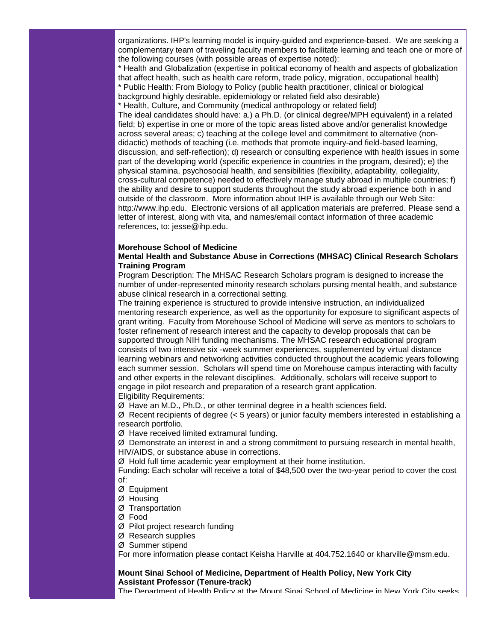organizations. IHP's learning model is inquiry-guided and experience-based. We are seeking a complementary team of traveling faculty members to facilitate learning and teach one or more of the following courses (with possible areas of expertise noted):

\* Health and Globalization (expertise in political economy of health and aspects of globalization that affect health, such as health care reform, trade policy, migration, occupational health)

\* Public Health: From Biology to Policy (public health practitioner, clinical or biological background highly desirable, epidemiology or related field also desirable)

\* Health, Culture, and Community (medical anthropology or related field)

The ideal candidates should have: a.) a Ph.D. (or clinical degree/MPH equivalent) in a related field; b) expertise in one or more of the topic areas listed above and/or generalist knowledge across several areas; c) teaching at the college level and commitment to alternative (nondidactic) methods of teaching (i.e. methods that promote inquiry-and field-based learning, discussion, and self-reflection); d) research or consulting experience with health issues in some part of the developing world (specific experience in countries in the program, desired); e) the physical stamina, psychosocial health, and sensibilities (flexibility, adaptability, collegiality, cross-cultural competence) needed to effectively manage study abroad in multiple countries; f) the ability and desire to support students throughout the study abroad experience both in and outside of the classroom. More information about IHP is available through our Web Site: http://www.ihp.edu. Electronic versions of all application materials are preferred. Please send a letter of interest, along with vita, and names/email contact information of three academic references, to: jesse@ihp.edu.

### **Morehouse School of Medicine**

# **Mental Health and Substance Abuse in Corrections (MHSAC) Clinical Research Scholars Training Program**

Program Description: The MHSAC Research Scholars program is designed to increase the number of under-represented minority research scholars pursing mental health, and substance abuse clinical research in a correctional setting.

The training experience is structured to provide intensive instruction, an individualized mentoring research experience, as well as the opportunity for exposure to significant aspects of grant writing. Faculty from Morehouse School of Medicine will serve as mentors to scholars to foster refinement of research interest and the capacity to develop proposals that can be supported through NIH funding mechanisms. The MHSAC research educational program consists of two intensive six -week summer experiences, supplemented by virtual distance learning webinars and networking activities conducted throughout the academic years following each summer session. Scholars will spend time on Morehouse campus interacting with faculty and other experts in the relevant disciplines. Additionally, scholars will receive support to engage in pilot research and preparation of a research grant application. Eligibility Requirements:

Ø Have an M.D., Ph.D., or other terminal degree in a health sciences field.

Ø Recent recipients of degree (< 5 years) or junior faculty members interested in establishing a research portfolio.

Ø Have received limited extramural funding.

Ø Demonstrate an interest in and a strong commitment to pursuing research in mental health, HIV/AIDS, or substance abuse in corrections.

Ø Hold full time academic year employment at their home institution.

Funding: Each scholar will receive a total of \$48,500 over the two-year period to cover the cost of:

Ø Equipment

- Ø Housing
- Ø Transportation

Ø Food

Ø Pilot project research funding

- Ø Research supplies
- Ø Summer stipend

For more information please contact Keisha Harville at 404.752.1640 or kharville@msm.edu.

# **Mount Sinai School of Medicine, Department of Health Policy, New York City Assistant Professor (Tenure-track)**

The Department of Health Policy at the Mount Sinai School of Medicine in New York City seeks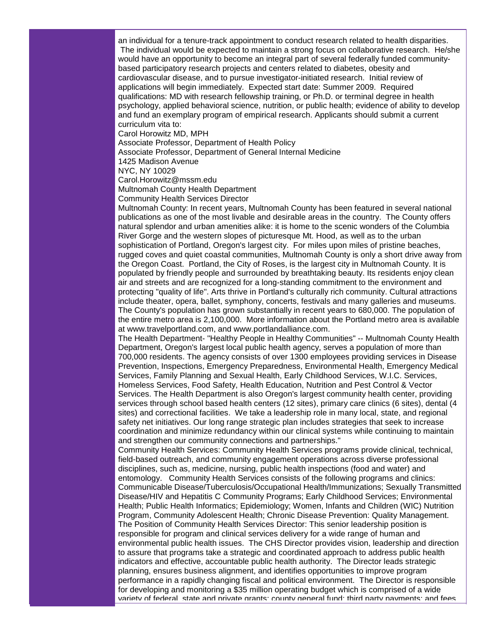an individual for a tenure-track appointment to conduct research related to health disparities. The individual would be expected to maintain a strong focus on collaborative research. He/she would have an opportunity to become an integral part of several federally funded communitybased participatory research projects and centers related to diabetes, obesity and cardiovascular disease, and to pursue investigator-initiated research. Initial review of applications will begin immediately. Expected start date: Summer 2009. Required qualifications: MD with research fellowship training, or Ph.D. or terminal degree in health psychology, applied behavioral science, nutrition, or public health; evidence of ability to develop and fund an exemplary program of empirical research. Applicants should submit a current curriculum vita to:

Carol Horowitz MD, MPH

Associate Professor, Department of Health Policy

Associate Professor, Department of General Internal Medicine

1425 Madison Avenue

NYC, NY 10029

Carol.Horowitz@mssm.edu

Multnomah County Health Department

Community Health Services Director

Multnomah County: In recent years, Multnomah County has been featured in several national publications as one of the most livable and desirable areas in the country. The County offers natural splendor and urban amenities alike: it is home to the scenic wonders of the Columbia River Gorge and the western slopes of picturesque Mt. Hood, as well as to the urban sophistication of Portland, Oregon's largest city. For miles upon miles of pristine beaches, rugged coves and quiet coastal communities, Multnomah County is only a short drive away from the Oregon Coast. Portland, the City of Roses, is the largest city in Multnomah County. It is populated by friendly people and surrounded by breathtaking beauty. Its residents enjoy clean air and streets and are recognized for a long-standing commitment to the environment and protecting "quality of life". Arts thrive in Portland's culturally rich community. Cultural attractions include theater, opera, ballet, symphony, concerts, festivals and many galleries and museums. The County's population has grown substantially in recent years to 680,000. The population of the entire metro area is 2,100,000. More information about the Portland metro area is available at www.travelportland.com, and www.portlandalliance.com.

The Health Department- "Healthy People in Healthy Communities" -- Multnomah County Health Department, Oregon's largest local public health agency, serves a population of more than 700,000 residents. The agency consists of over 1300 employees providing services in Disease Prevention, Inspections, Emergency Preparedness, Environmental Health, Emergency Medical Services, Family Planning and Sexual Health, Early Childhood Services, W.I.C. Services, Homeless Services, Food Safety, Health Education, Nutrition and Pest Control & Vector Services. The Health Department is also Oregon's largest community health center, providing services through school based health centers (12 sites), primary care clinics (6 sites), dental (4 sites) and correctional facilities. We take a leadership role in many local, state, and regional safety net initiatives. Our long range strategic plan includes strategies that seek to increase coordination and minimize redundancy within our clinical systems while continuing to maintain and strengthen our community connections and partnerships."

Community Health Services: Community Health Services programs provide clinical, technical, field-based outreach, and community engagement operations across diverse professional disciplines, such as, medicine, nursing, public health inspections (food and water) and entomology. Community Health Services consists of the following programs and clinics: Communicable Disease/Tuberculosis/Occupational Health/Immunizations; Sexually Transmitted Disease/HIV and Hepatitis C Community Programs; Early Childhood Services; Environmental Health; Public Health Informatics; Epidemiology; Women, Infants and Children (WIC) Nutrition Program, Community Adolescent Health; Chronic Disease Prevention: Quality Management. The Position of Community Health Services Director: This senior leadership position is responsible for program and clinical services delivery for a wide range of human and environmental public health issues. The CHS Director provides vision, leadership and direction to assure that programs take a strategic and coordinated approach to address public health indicators and effective, accountable public health authority. The Director leads strategic planning, ensures business alignment, and identifies opportunities to improve program performance in a rapidly changing fiscal and political environment. The Director is responsible for developing and monitoring a \$35 million operating budget which is comprised of a wide variety of federal, state and private grants; county general fund; third party payments; and fees.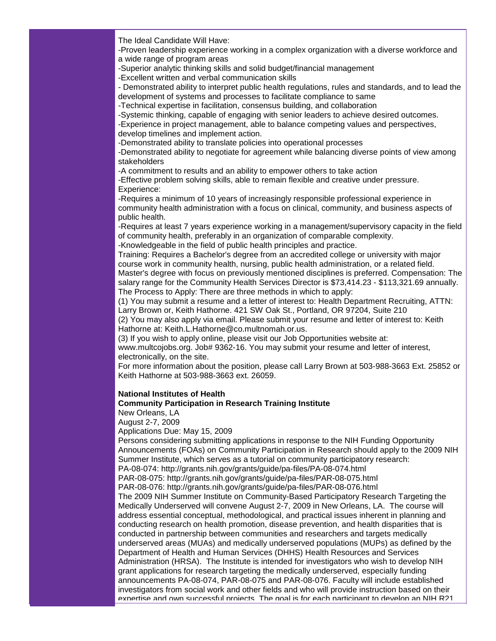The Ideal Candidate Will Have:

-Proven leadership experience working in a complex organization with a diverse workforce and a wide range of program areas

-Superior analytic thinking skills and solid budget/financial management

-Excellent written and verbal communication skills

- Demonstrated ability to interpret public health regulations, rules and standards, and to lead the development of systems and processes to facilitate compliance to same

-Technical expertise in facilitation, consensus building, and collaboration

-Systemic thinking, capable of engaging with senior leaders to achieve desired outcomes.

-Experience in project management, able to balance competing values and perspectives, develop timelines and implement action.

-Demonstrated ability to translate policies into operational processes

-Demonstrated ability to negotiate for agreement while balancing diverse points of view among stakeholders

-A commitment to results and an ability to empower others to take action

-Effective problem solving skills, able to remain flexible and creative under pressure. Experience:

-Requires a minimum of 10 years of increasingly responsible professional experience in community health administration with a focus on clinical, community, and business aspects of public health.

-Requires at least 7 years experience working in a management/supervisory capacity in the field of community health, preferably in an organization of comparable complexity.

-Knowledgeable in the field of public health principles and practice.

Training: Requires a Bachelor's degree from an accredited college or university with major course work in community health, nursing, public health administration, or a related field.

Master's degree with focus on previously mentioned disciplines is preferred. Compensation: The salary range for the Community Health Services Director is \$73,414.23 - \$113,321.69 annually. The Process to Apply: There are three methods in which to apply:

(1) You may submit a resume and a letter of interest to: Health Department Recruiting, ATTN: Larry Brown or, Keith Hathorne. 421 SW Oak St., Portland, OR 97204, Suite 210

(2) You may also apply via email. Please submit your resume and letter of interest to: Keith Hathorne at: Keith.L.Hathorne@co.multnomah.or.us.

(3) If you wish to apply online, please visit our Job Opportunities website at:

www.multcojobs.org. Job# 9362-16. You may submit your resume and letter of interest, electronically, on the site.

For more information about the position, please call Larry Brown at 503-988-3663 Ext. 25852 or Keith Hathorne at 503-988-3663 ext. 26059.

#### **National Institutes of Health**

# **Community Participation in Research Training Institute**

New Orleans, LA

August 2-7, 2009

Applications Due: May 15, 2009

Persons considering submitting applications in response to the NIH Funding Opportunity Announcements (FOAs) on Community Participation in Research should apply to the 2009 NIH Summer Institute, which serves as a tutorial on community participatory research:

PA-08-074: http://grants.nih.gov/grants/guide/pa-files/PA-08-074.html

PAR-08-075: http://grants.nih.gov/grants/guide/pa-files/PAR-08-075.html

PAR-08-076: http://grants.nih.gov/grants/guide/pa-files/PAR-08-076.html

The 2009 NIH Summer Institute on Community-Based Participatory Research Targeting the Medically Underserved will convene August 2-7, 2009 in New Orleans, LA. The course will address essential conceptual, methodological, and practical issues inherent in planning and conducting research on health promotion, disease prevention, and health disparities that is conducted in partnership between communities and researchers and targets medically underserved areas (MUAs) and medically underserved populations (MUPs) as defined by the Department of Health and Human Services (DHHS) Health Resources and Services Administration (HRSA). The Institute is intended for investigators who wish to develop NIH grant applications for research targeting the medically underserved, especially funding announcements PA-08-074, PAR-08-075 and PAR-08-076. Faculty will include established investigators from social work and other fields and who will provide instruction based on their expertise and own successful projects. The goal is for each participant to develop an NIH R21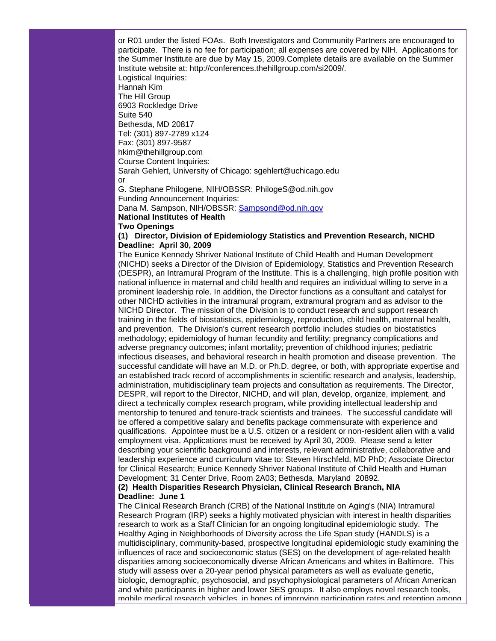or R01 under the listed FOAs. Both Investigators and Community Partners are encouraged to participate. There is no fee for participation; all expenses are covered by NIH. Applications for the Summer Institute are due by May 15, 2009.Complete details are available on the Summer Institute website at: http://conferences.thehillgroup.com/si2009/. Logistical Inquiries: Hannah Kim The Hill Group 6903 Rockledge Drive Suite 540 Bethesda, MD 20817 Tel: (301) 897-2789 x124 Fax: (301) 897-9587 hkim@thehillgroup.com Course Content Inquiries: Sarah Gehlert, University of Chicago: sgehlert@uchicago.edu or G. Stephane Philogene, NIH/OBSSR: PhilogeS@od.nih.gov Funding Announcement Inquiries: Dana M. Sampson, NIH/OBSSR: [Sampsond@od.nih.gov](mailto:Sampsond@od.nih.gov)

#### **National Institutes of Health**

#### **Two Openings**

# **(1) Director, Division of Epidemiology Statistics and Prevention Research, NICHD Deadline: April 30, 2009**

The Eunice Kennedy Shriver National Institute of Child Health and Human Development (NICHD) seeks a Director of the Division of Epidemiology, Statistics and Prevention Research (DESPR), an Intramural Program of the Institute. This is a challenging, high profile position with national influence in maternal and child health and requires an individual willing to serve in a prominent leadership role. In addition, the Director functions as a consultant and catalyst for other NICHD activities in the intramural program, extramural program and as advisor to the NICHD Director. The mission of the Division is to conduct research and support research training in the fields of biostatistics, epidemiology, reproduction, child health, maternal health, and prevention. The Division's current research portfolio includes studies on biostatistics methodology; epidemiology of human fecundity and fertility; pregnancy complications and adverse pregnancy outcomes; infant mortality; prevention of childhood injuries; pediatric infectious diseases, and behavioral research in health promotion and disease prevention. The successful candidate will have an M.D. or Ph.D. degree, or both, with appropriate expertise and an established track record of accomplishments in scientific research and analysis, leadership, administration, multidisciplinary team projects and consultation as requirements. The Director, DESPR, will report to the Director, NICHD, and will plan, develop, organize, implement, and direct a technically complex research program, while providing intellectual leadership and mentorship to tenured and tenure-track scientists and trainees. The successful candidate will be offered a competitive salary and benefits package commensurate with experience and qualifications. Appointee must be a U.S. citizen or a resident or non-resident alien with a valid employment visa. Applications must be received by April 30, 2009. Please send a letter describing your scientific background and interests, relevant administrative, collaborative and leadership experience and curriculum vitae to: Steven Hirschfeld, MD PhD; Associate Director for Clinical Research; Eunice Kennedy Shriver National Institute of Child Health and Human Development; 31 Center Drive, Room 2A03; Bethesda, Maryland 20892.

# **(2) Health Disparities Research Physician, Clinical Research Branch, NIA Deadline: June 1**

The Clinical Research Branch (CRB) of the National Institute on Aging's (NIA) Intramural Research Program (IRP) seeks a highly motivated physician with interest in health disparities research to work as a Staff Clinician for an ongoing longitudinal epidemiologic study. The Healthy Aging in Neighborhoods of Diversity across the Life Span study (HANDLS) is a multidisciplinary, community-based, prospective longitudinal epidemiologic study examining the influences of race and socioeconomic status (SES) on the development of age-related health disparities among socioeconomically diverse African Americans and whites in Baltimore. This study will assess over a 20-year period physical parameters as well as evaluate genetic, biologic, demographic, psychosocial, and psychophysiological parameters of African American and white participants in higher and lower SES groups. It also employs novel research tools, mobile medical research vehicles, in hopes of improving participation rates and retention among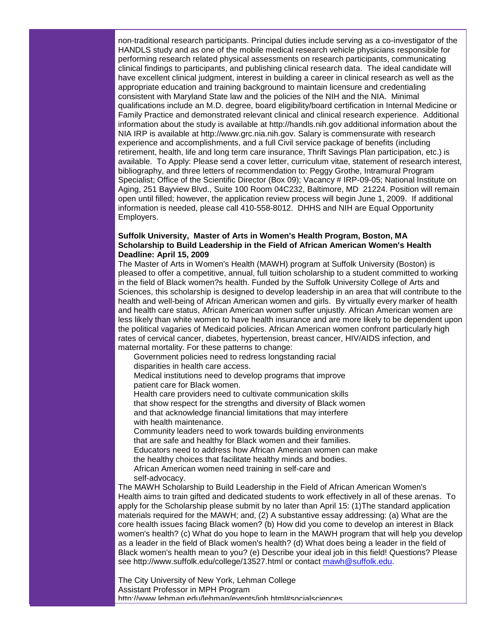non-traditional research participants. Principal duties include serving as a co-investigator of the HANDLS study and as one of the mobile medical research vehicle physicians responsible for performing research related physical assessments on research participants, communicating clinical findings to participants, and publishing clinical research data. The ideal candidate will have excellent clinical judgment, interest in building a career in clinical research as well as the appropriate education and training background to maintain licensure and credentialing consistent with Maryland State law and the policies of the NIH and the NIA. Minimal qualifications include an M.D. degree, board eligibility/board certification in Internal Medicine or Family Practice and demonstrated relevant clinical and clinical research experience. Additional information about the study is available at http://handls.nih.gov additional information about the NIA IRP is available at http://www.grc.nia.nih.gov. Salary is commensurate with research experience and accomplishments, and a full Civil service package of benefits (including retirement, health, life and long term care insurance, Thrift Savings Plan participation, etc.) is available. To Apply: Please send a cover letter, curriculum vitae, statement of research interest, bibliography, and three letters of recommendation to: Peggy Grothe, Intramural Program Specialist; Office of the Scientific Director (Box 09); Vacancy # IRP-09-05; National Institute on Aging, 251 Bayview Blvd., Suite 100 Room 04C232, Baltimore, MD 21224. Position will remain open until filled; however, the application review process will begin June 1, 2009. If additional information is needed, please call 410-558-8012. DHHS and NIH are Equal Opportunity Employers.

# **Suffolk University, Master of Arts in Women's Health Program, Boston, MA Scholarship to Build Leadership in the Field of African American Women's Health Deadline: April 15, 2009**

The Master of Arts in Women's Health (MAWH) program at Suffolk University (Boston) is pleased to offer a competitive, annual, full tuition scholarship to a student committed to working in the field of Black women?s health. Funded by the Suffolk University College of Arts and Sciences, this scholarship is designed to develop leadership in an area that will contribute to the health and well-being of African American women and girls. By virtually every marker of health and health care status, African American women suffer unjustly. African American women are less likely than white women to have health insurance and are more likely to be dependent upon the political vagaries of Medicaid policies. African American women confront particularly high rates of cervical cancer, diabetes, hypertension, breast cancer, HIV/AIDS infection, and maternal mortality. For these patterns to change:

Government policies need to redress longstanding racial

disparities in health care access.

 Medical institutions need to develop programs that improve patient care for Black women.

 Health care providers need to cultivate communication skills that show respect for the strengths and diversity of Black women and that acknowledge financial limitations that may interfere with health maintenance.

 Community leaders need to work towards building environments that are safe and healthy for Black women and their families. Educators need to address how African American women can make the healthy choices that facilitate healthy minds and bodies.

 African American women need training in self-care and self-advocacy.

The MAWH Scholarship to Build Leadership in the Field of African American Women's Health aims to train gifted and dedicated students to work effectively in all of these arenas. To apply for the Scholarship please submit by no later than April 15: (1)The standard application materials required for the MAWH; and, (2) A substantive essay addressing: (a) What are the core health issues facing Black women? (b) How did you come to develop an interest in Black women's health? (c) What do you hope to learn in the MAWH program that will help you develop as a leader in the field of Black women's health? (d) What does being a leader in the field of Black women's health mean to you? (e) Describe your ideal job in this field! Questions? Please see http://www.suffolk.edu/college/13527.html or contact [mawh@suffolk.edu.](mailto:mawh@suffolk.edu)

The City University of New York, Lehman College Assistant Professor in MPH Program http://www.lehman.edu/lehman/events/job.html#socialsciences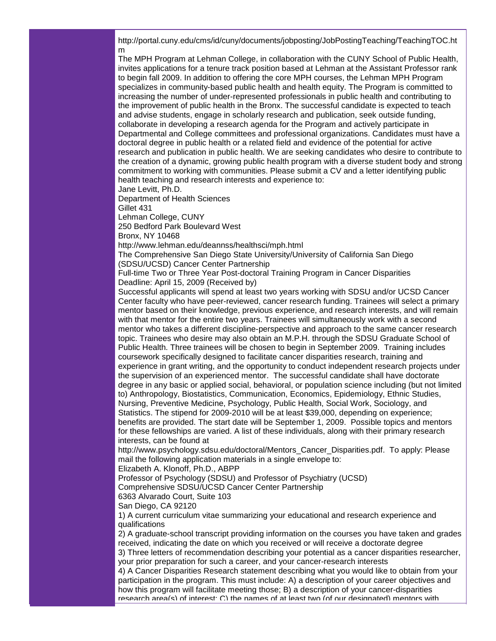http://portal.cuny.edu/cms/id/cuny/documents/jobposting/JobPostingTeaching/TeachingTOC.ht m

The MPH Program at Lehman College, in collaboration with the CUNY School of Public Health, invites applications for a tenure track position based at Lehman at the Assistant Professor rank to begin fall 2009. In addition to offering the core MPH courses, the Lehman MPH Program specializes in community-based public health and health equity. The Program is committed to increasing the number of under-represented professionals in public health and contributing to the improvement of public health in the Bronx. The successful candidate is expected to teach and advise students, engage in scholarly research and publication, seek outside funding, collaborate in developing a research agenda for the Program and actively participate in Departmental and College committees and professional organizations. Candidates must have a doctoral degree in public health or a related field and evidence of the potential for active research and publication in public health. We are seeking candidates who desire to contribute to the creation of a dynamic, growing public health program with a diverse student body and strong commitment to working with communities. Please submit a CV and a letter identifying public health teaching and research interests and experience to:

Jane Levitt, Ph.D.

Department of Health Sciences

Gillet 431

Lehman College, CUNY

250 Bedford Park Boulevard West

Bronx, NY 10468

http://www.lehman.edu/deannss/healthsci/mph.html

The Comprehensive San Diego State University/University of California San Diego (SDSU/UCSD) Cancer Center Partnership

Full-time Two or Three Year Post-doctoral Training Program in Cancer Disparities Deadline: April 15, 2009 (Received by)

Successful applicants will spend at least two years working with SDSU and/or UCSD Cancer Center faculty who have peer-reviewed, cancer research funding. Trainees will select a primary mentor based on their knowledge, previous experience, and research interests, and will remain with that mentor for the entire two years. Trainees will simultaneously work with a second mentor who takes a different discipline-perspective and approach to the same cancer research topic. Trainees who desire may also obtain an M.P.H. through the SDSU Graduate School of Public Health. Three trainees will be chosen to begin in September 2009. Training includes coursework specifically designed to facilitate cancer disparities research, training and experience in grant writing, and the opportunity to conduct independent research projects under the supervision of an experienced mentor. The successful candidate shall have doctorate degree in any basic or applied social, behavioral, or population science including (but not limited to) Anthropology, Biostatistics, Communication, Economics, Epidemiology, Ethnic Studies, Nursing, Preventive Medicine, Psychology, Public Health, Social Work, Sociology, and Statistics. The stipend for 2009-2010 will be at least \$39,000, depending on experience; benefits are provided. The start date will be September 1, 2009. Possible topics and mentors for these fellowships are varied. A list of these individuals, along with their primary research interests, can be found at

http://www.psychology.sdsu.edu/doctoral/Mentors\_Cancer\_Disparities.pdf. To apply: Please mail the following application materials in a single envelope to:

Elizabeth A. Klonoff, Ph.D., ABPP

Professor of Psychology (SDSU) and Professor of Psychiatry (UCSD)

Comprehensive SDSU/UCSD Cancer Center Partnership

6363 Alvarado Court, Suite 103

San Diego, CA 92120

1) A current curriculum vitae summarizing your educational and research experience and qualifications

2) A graduate-school transcript providing information on the courses you have taken and grades received, indicating the date on which you received or will receive a doctorate degree

3) Three letters of recommendation describing your potential as a cancer disparities researcher, your prior preparation for such a career, and your cancer-research interests

4) A Cancer Disparities Research statement describing what you would like to obtain from your participation in the program. This must include: A) a description of your career objectives and how this program will facilitate meeting those; B) a description of your cancer-disparities research area(s) of interest; C) the names of at least two (of our designated) mentors with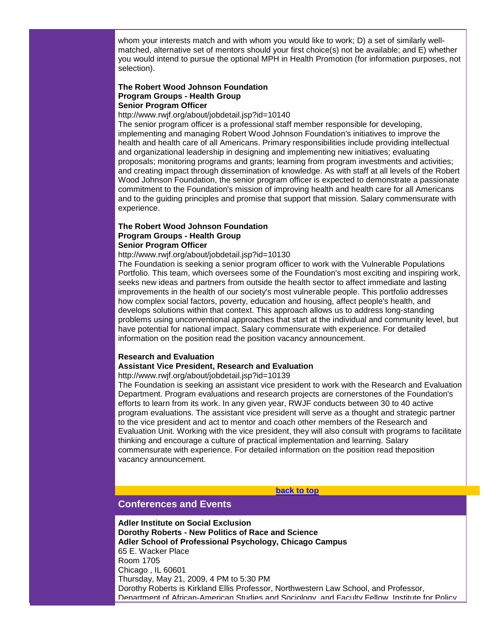whom your interests match and with whom you would like to work; D) a set of similarly wellmatched, alternative set of mentors should your first choice(s) not be available; and E) whether you would intend to pursue the optional MPH in Health Promotion (for information purposes, not selection).

# **The Robert Wood Johnson Foundation Program Groups - Health Group Senior Program Officer**

### http://www.rwjf.org/about/jobdetail.jsp?id=10140

The senior program officer is a professional staff member responsible for developing, implementing and managing Robert Wood Johnson Foundation's initiatives to improve the health and health care of all Americans. Primary responsibilities include providing intellectual and organizational leadership in designing and implementing new initiatives; evaluating proposals; monitoring programs and grants; learning from program investments and activities; and creating impact through dissemination of knowledge. As with staff at all levels of the Robert Wood Johnson Foundation, the senior program officer is expected to demonstrate a passionate commitment to the Foundation's mission of improving health and health care for all Americans and to the guiding principles and promise that support that mission. Salary commensurate with experience.

#### **The Robert Wood Johnson Foundation Program Groups - Health Group Senior Program Officer**

#### http://www.rwjf.org/about/jobdetail.jsp?id=10130

The Foundation is seeking a senior program officer to work with the Vulnerable Populations Portfolio. This team, which oversees some of the Foundation's most exciting and inspiring work, seeks new ideas and partners from outside the health sector to affect immediate and lasting improvements in the health of our society's most vulnerable people. This portfolio addresses how complex social factors, poverty, education and housing, affect people's health, and develops solutions within that context. This approach allows us to address long-standing problems using unconventional approaches that start at the individual and community level, but have potential for national impact. Salary commensurate with experience. For detailed information on the position read the position vacancy announcement.

#### **Research and Evaluation**

#### **Assistant Vice President, Research and Evaluation**

http://www.rwjf.org/about/jobdetail.jsp?id=10139

The Foundation is seeking an assistant vice president to work with the Research and Evaluation Department. Program evaluations and research projects are cornerstones of the Foundation's efforts to learn from its work. In any given year, RWJF conducts between 30 to 40 active program evaluations. The assistant vice president will serve as a thought and strategic partner to the vice president and act to mentor and coach other members of the Research and Evaluation Unit. Working with the vice president, they will also consult with programs to facilitate thinking and encourage a culture of practical implementation and learning. Salary commensurate with experience. For detailed information on the position read theposition vacancy announcement.

#### **[back to top](#page-0-2)**

# <span id="page-18-0"></span>**Conferences and Events**

**Adler Institute on Social Exclusion Dorothy Roberts - New Politics of Race and Science Adler School of Professional Psychology, Chicago Campus** 65 E. Wacker Place Room 1705 Chicago , IL 60601 Thursday, May 21, 2009, 4 PM to 5:30 PM Dorothy Roberts is Kirkland Ellis Professor, Northwestern Law School, and Professor, Department of African-American Studies and Sociology, and Faculty Fellow, Institute for Policy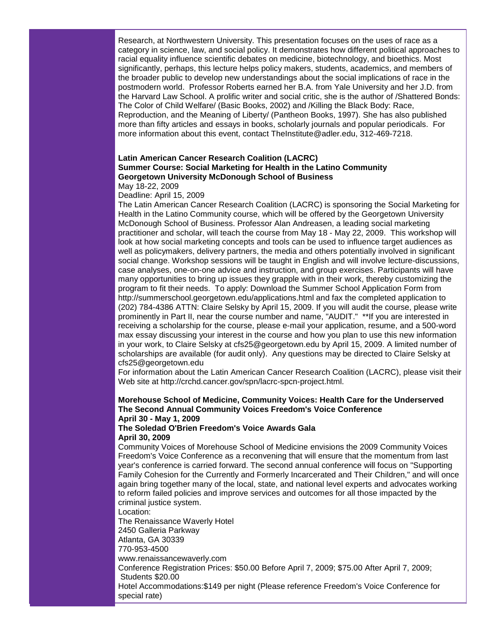Research, at Northwestern University. This presentation focuses on the uses of race as a category in science, law, and social policy. It demonstrates how different political approaches to racial equality influence scientific debates on medicine, biotechnology, and bioethics. Most significantly, perhaps, this lecture helps policy makers, students, academics, and members of the broader public to develop new understandings about the social implications of race in the postmodern world. Professor Roberts earned her B.A. from Yale University and her J.D. from the Harvard Law School. A prolific writer and social critic, she is the author of /Shattered Bonds: The Color of Child Welfare/ (Basic Books, 2002) and /Killing the Black Body: Race, Reproduction, and the Meaning of Liberty/ (Pantheon Books, 1997). She has also published more than fifty articles and essays in books, scholarly journals and popular periodicals. For more information about this event, contact TheInstitute@adler.edu, 312-469-7218.

#### **Latin American Cancer Research Coalition (LACRC) Summer Course: Social Marketing for Health in the Latino Community Georgetown University McDonough School of Business** May 18-22, 2009

Deadline: April 15, 2009

The Latin American Cancer Research Coalition (LACRC) is sponsoring the Social Marketing for Health in the Latino Community course, which will be offered by the Georgetown University McDonough School of Business. Professor Alan Andreasen, a leading social marketing practitioner and scholar, will teach the course from May 18 - May 22, 2009. This workshop will look at how social marketing concepts and tools can be used to influence target audiences as well as policymakers, delivery partners, the media and others potentially involved in significant social change. Workshop sessions will be taught in English and will involve lecture-discussions, case analyses, one-on-one advice and instruction, and group exercises. Participants will have many opportunities to bring up issues they grapple with in their work, thereby customizing the program to fit their needs. To apply: Download the Summer School Application Form from http://summerschool.georgetown.edu/applications.html and fax the completed application to (202) 784-4386 ATTN: Claire Selsky by April 15, 2009. If you will audit the course, please write prominently in Part II, near the course number and name, "AUDIT." \*\*If you are interested in receiving a scholarship for the course, please e-mail your application, resume, and a 500-word max essay discussing your interest in the course and how you plan to use this new information in your work, to Claire Selsky at cfs25@georgetown.edu by April 15, 2009. A limited number of scholarships are available (for audit only). Any questions may be directed to Claire Selsky at cfs25@georgetown.edu

For information about the Latin American Cancer Research Coalition (LACRC), please visit their Web site at http://crchd.cancer.gov/spn/lacrc-spcn-project.html.

# **Morehouse School of Medicine, Community Voices: Health Care for the Underserved The Second Annual Community Voices Freedom's Voice Conference April 30 - May 1, 2009**

# **The Soledad O'Brien Freedom's Voice Awards Gala April 30, 2009**

Community Voices of Morehouse School of Medicine envisions the 2009 Community Voices Freedom's Voice Conference as a reconvening that will ensure that the momentum from last year's conference is carried forward. The second annual conference will focus on "Supporting Family Cohesion for the Currently and Formerly Incarcerated and Their Children," and will once again bring together many of the local, state, and national level experts and advocates working to reform failed policies and improve services and outcomes for all those impacted by the criminal justice system.

Location:

The Renaissance Waverly Hotel 2450 Galleria Parkway Atlanta, GA 30339 770-953-4500

www.renaissancewaverly.com Conference Registration Prices: \$50.00 Before April 7, 2009; \$75.00 After April 7, 2009; Students \$20.00

Hotel Accommodations:\$149 per night (Please reference Freedom's Voice Conference for special rate)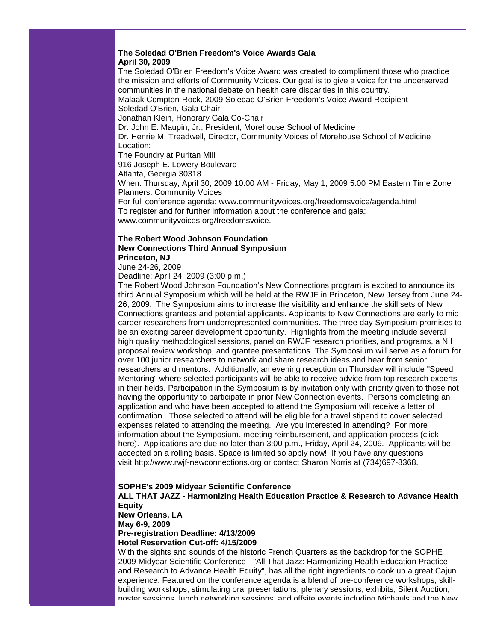#### **The Soledad O'Brien Freedom's Voice Awards Gala April 30, 2009**

The Soledad O'Brien Freedom's Voice Award was created to compliment those who practice the mission and efforts of Community Voices. Our goal is to give a voice for the underserved communities in the national debate on health care disparities in this country. Malaak Compton-Rock, 2009 Soledad O'Brien Freedom's Voice Award Recipient

Soledad O'Brien, Gala Chair

Jonathan Klein, Honorary Gala Co-Chair

Dr. John E. Maupin, Jr., President, Morehouse School of Medicine

Dr. Henrie M. Treadwell, Director, Community Voices of Morehouse School of Medicine Location:

The Foundry at Puritan Mill

916 Joseph E. Lowery Boulevard

Atlanta, Georgia 30318

When: Thursday, April 30, 2009 10:00 AM - Friday, May 1, 2009 5:00 PM Eastern Time Zone Planners: Community Voices

For full conference agenda: www.communityvoices.org/freedomsvoice/agenda.html To register and for further information about the conference and gala: www.communityvoices.org/freedomsvoice.

# **The Robert Wood Johnson Foundation New Connections Third Annual Symposium Princeton, NJ**

June 24-26, 2009

Deadline: April 24, 2009 (3:00 p.m.)

The Robert Wood Johnson Foundation's New Connections program is excited to announce its third Annual Symposium which will be held at the RWJF in Princeton, New Jersey from June 24- 26, 2009. The Symposium aims to increase the visibility and enhance the skill sets of New Connections grantees and potential applicants. Applicants to New Connections are early to mid career researchers from underrepresented communities. The three day Symposium promises to be an exciting career development opportunity. Highlights from the meeting include several high quality methodological sessions, panel on RWJF research priorities, and programs, a NIH proposal review workshop, and grantee presentations. The Symposium will serve as a forum for over 100 junior researchers to network and share research ideas and hear from senior researchers and mentors. Additionally, an evening reception on Thursday will include "Speed Mentoring" where selected participants will be able to receive advice from top research experts in their fields. Participation in the Symposium is by invitation only with priority given to those not having the opportunity to participate in prior New Connection events. Persons completing an application and who have been accepted to attend the Symposium will receive a letter of confirmation. Those selected to attend will be eligible for a travel stipend to cover selected expenses related to attending the meeting. Are you interested in attending? For more information about the Symposium, meeting reimbursement, and application process (click here). Applications are due no later than 3:00 p.m., Friday, April 24, 2009. Applicants will be accepted on a rolling basis. Space is limited so apply now! If you have any questions visit http://www.rwjf-newconnections.org or contact Sharon Norris at (734)697-8368.

# **SOPHE's 2009 Midyear Scientific Conference**

**ALL THAT JAZZ - Harmonizing Health Education Practice & Research to Advance Health Equity New Orleans, LA May 6-9, 2009 Pre-registration Deadline: 4/13/2009 Hotel Reservation Cut-off: 4/15/2009** With the sights and sounds of the historic French Quarters as the backdrop for the SOPHE

2009 Midyear Scientific Conference - "All That Jazz: Harmonizing Health Education Practice and Research to Advance Health Equity", has all the right ingredients to cook up a great Cajun experience. Featured on the conference agenda is a blend of pre-conference workshops; skillbuilding workshops, stimulating oral presentations, plenary sessions, exhibits, Silent Auction, poster sessions, lunch networking sessions, and offsite events including Michauls and the New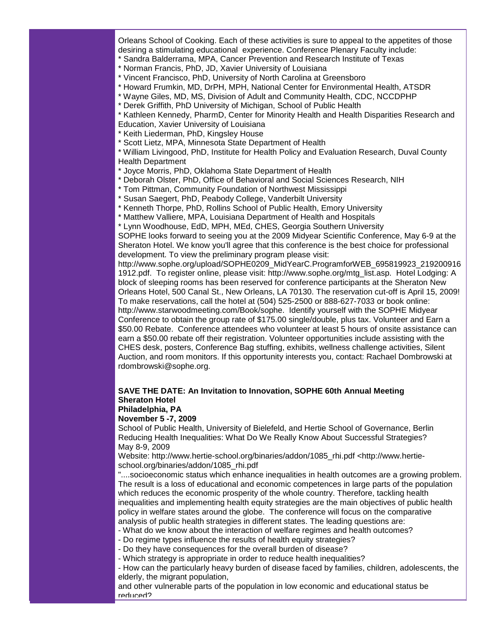Orleans School of Cooking. Each of these activities is sure to appeal to the appetites of those desiring a stimulating educational experience. Conference Plenary Faculty include:

- \* Sandra Balderrama, MPA, Cancer Prevention and Research Institute of Texas
- \* Norman Francis, PhD, JD, Xavier University of Louisiana
- \* Vincent Francisco, PhD, University of North Carolina at Greensboro
- \* Howard Frumkin, MD, DrPH, MPH, National Center for Environmental Health, ATSDR
- \* Wayne Giles, MD, MS, Division of Adult and Community Health, CDC, NCCDPHP
- \* Derek Griffith, PhD University of Michigan, School of Public Health
- \* Kathleen Kennedy, PharmD, Center for Minority Health and Health Disparities Research and Education, Xavier University of Louisiana
- \* Keith Liederman, PhD, Kingsley House
- \* Scott Lietz, MPA, Minnesota State Department of Health

\* William Livingood, PhD, Institute for Health Policy and Evaluation Research, Duval County Health Department

- \* Joyce Morris, PhD, Oklahoma State Department of Health
- \* Deborah Olster, PhD, Office of Behavioral and Social Sciences Research, NIH
- \* Tom Pittman, Community Foundation of Northwest Mississippi
- \* Susan Saegert, PhD, Peabody College, Vanderbilt University
- \* Kenneth Thorpe, PhD, Rollins School of Public Health, Emory University
- \* Matthew Valliere, MPA, Louisiana Department of Health and Hospitals
- \* Lynn Woodhouse, EdD, MPH, MEd, CHES, Georgia Southern University

SOPHE looks forward to seeing you at the 2009 Midyear Scientific Conference, May 6-9 at the Sheraton Hotel. We know you'll agree that this conference is the best choice for professional development. To view the preliminary program please visit:

http://www.sophe.org/upload/SOPHE0209\_MidYearC.ProgramforWEB\_695819923\_219200916 1912.pdf. To register online, please visit: http://www.sophe.org/mtg\_list.asp. Hotel Lodging: A block of sleeping rooms has been reserved for conference participants at the Sheraton New Orleans Hotel, 500 Canal St., New Orleans, LA 70130. The reservation cut-off is April 15, 2009! To make reservations, call the hotel at (504) 525-2500 or 888-627-7033 or book online: http://www.starwoodmeeting.com/Book/sophe. Identify yourself with the SOPHE Midyear Conference to obtain the group rate of \$175.00 single/double, plus tax. Volunteer and Earn a \$50.00 Rebate. Conference attendees who volunteer at least 5 hours of onsite assistance can earn a \$50.00 rebate off their registration. Volunteer opportunities include assisting with the CHES desk, posters, Conference Bag stuffing, exhibits, wellness challenge activities, Silent Auction, and room monitors. If this opportunity interests you, contact: Rachael Dombrowski at rdombrowski@sophe.org.

# **SAVE THE DATE: An Invitation to Innovation, SOPHE 60th Annual Meeting Sheraton Hotel**

# **Philadelphia, PA**

# **November 5 -7, 2009**

School of Public Health, University of Bielefeld, and Hertie School of Governance, Berlin Reducing Health Inequalities: What Do We Really Know About Successful Strategies? May 8-9, 2009

Website: http://www.hertie-school.org/binaries/addon/1085\_rhi.pdf <http://www.hertieschool.org/binaries/addon/1085\_rhi.pdf

"....socioeconomic status which enhance inequalities in health outcomes are a growing problem. The result is a loss of educational and economic competences in large parts of the population which reduces the economic prosperity of the whole country. Therefore, tackling health inequalities and implementing health equity strategies are the main objectives of public health policy in welfare states around the globe. The conference will focus on the comparative analysis of public health strategies in different states. The leading questions are:

- What do we know about the interaction of welfare regimes and health outcomes?
- Do regime types influence the results of health equity strategies?
- Do they have consequences for the overall burden of disease?
- Which strategy is appropriate in order to reduce health inequalities?

- How can the particularly heavy burden of disease faced by families, children, adolescents, the elderly, the migrant population,

and other vulnerable parts of the population in low economic and educational status be reduced?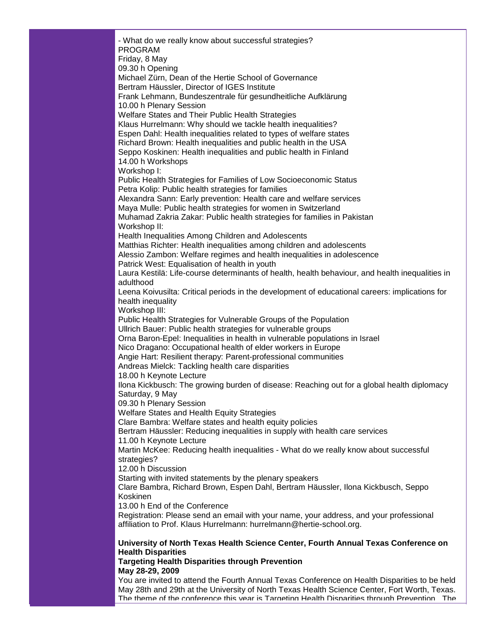- What do we really know about successful strategies? PROGRAM Friday, 8 May 09.30 h Opening Michael Zürn, Dean of the Hertie School of Governance Bertram Häussler, Director of IGES Institute Frank Lehmann, Bundeszentrale für gesundheitliche Aufklärung 10.00 h Plenary Session Welfare States and Their Public Health Strategies Klaus Hurrelmann: Why should we tackle health inequalities? Espen Dahl: Health inequalities related to types of welfare states Richard Brown: Health inequalities and public health in the USA Seppo Koskinen: Health inequalities and public health in Finland 14.00 h Workshops Workshop I: Public Health Strategies for Families of Low Socioeconomic Status Petra Kolip: Public health strategies for families Alexandra Sann: Early prevention: Health care and welfare services Maya Mulle: Public health strategies for women in Switzerland Muhamad Zakria Zakar: Public health strategies for families in Pakistan Workshop II: Health Inequalities Among Children and Adolescents Matthias Richter: Health inequalities among children and adolescents Alessio Zambon: Welfare regimes and health inequalities in adolescence Patrick West: Equalisation of health in youth Laura Kestilä: Life-course determinants of health, health behaviour, and health inequalities in adulthood Leena Koivusilta: Critical periods in the development of educational careers: implications for health inequality Workshop III: Public Health Strategies for Vulnerable Groups of the Population Ullrich Bauer: Public health strategies for vulnerable groups Orna Baron-Epel: Inequalities in health in vulnerable populations in Israel Nico Dragano: Occupational health of elder workers in Europe Angie Hart: Resilient therapy: Parent-professional communities Andreas Mielck: Tackling health care disparities 18.00 h Keynote Lecture Ilona Kickbusch: The growing burden of disease: Reaching out for a global health diplomacy Saturday, 9 May 09.30 h Plenary Session Welfare States and Health Equity Strategies Clare Bambra: Welfare states and health equity policies Bertram Häussler: Reducing inequalities in supply with health care services 11.00 h Keynote Lecture Martin McKee: Reducing health inequalities - What do we really know about successful strategies? 12.00 h Discussion Starting with invited statements by the plenary speakers Clare Bambra, Richard Brown, Espen Dahl, Bertram Häussler, Ilona Kickbusch, Seppo Koskinen 13.00 h End of the Conference Registration: Please send an email with your name, your address, and your professional affiliation to Prof. Klaus Hurrelmann: hurrelmann@hertie-school.org. **University of North Texas Health Science Center, Fourth Annual Texas Conference on Health Disparities Targeting Health Disparities through Prevention May 28-29, 2009**

You are invited to attend the Fourth Annual Texas Conference on Health Disparities to be held May 28th and 29th at the University of North Texas Health Science Center, Fort Worth, Texas. The theme of the conference this year is Targeting Health Disparities through Prevention. The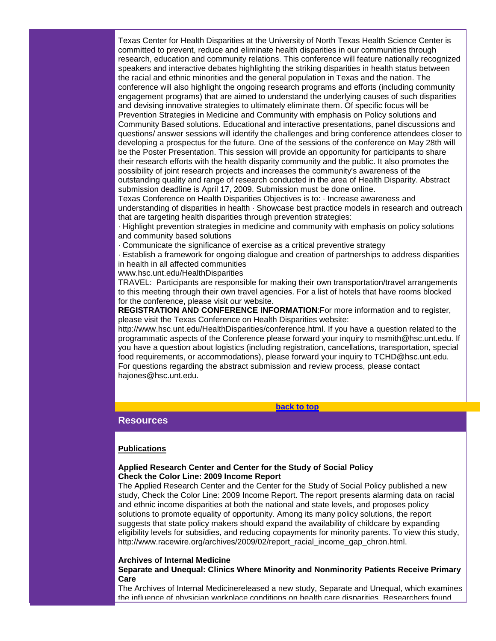Texas Center for Health Disparities at the University of North Texas Health Science Center is committed to prevent, reduce and eliminate health disparities in our communities through research, education and community relations. This conference will feature nationally recognized speakers and interactive debates highlighting the striking disparities in health status between the racial and ethnic minorities and the general population in Texas and the nation. The conference will also highlight the ongoing research programs and efforts (including community engagement programs) that are aimed to understand the underlying causes of such disparities and devising innovative strategies to ultimately eliminate them. Of specific focus will be Prevention Strategies in Medicine and Community with emphasis on Policy solutions and Community Based solutions. Educational and interactive presentations, panel discussions and questions/ answer sessions will identify the challenges and bring conference attendees closer to developing a prospectus for the future. One of the sessions of the conference on May 28th will be the Poster Presentation. This session will provide an opportunity for participants to share their research efforts with the health disparity community and the public. It also promotes the possibility of joint research projects and increases the community's awareness of the outstanding quality and range of research conducted in the area of Health Disparity. Abstract submission deadline is April 17, 2009. Submission must be done online.

Texas Conference on Health Disparities Objectives is to: · Increase awareness and understanding of disparities in health · Showcase best practice models in research and outreach that are targeting health disparities through prevention strategies:

· Highlight prevention strategies in medicine and community with emphasis on policy solutions and community based solutions

· Communicate the significance of exercise as a critical preventive strategy

· Establish a framework for ongoing dialogue and creation of partnerships to address disparities in health in all affected communities

www.hsc.unt.edu/HealthDisparities

TRAVEL: Participants are responsible for making their own transportation/travel arrangements to this meeting through their own travel agencies. For a list of hotels that have rooms blocked for the conference, please visit our website.

**REGISTRATION AND CONFERENCE INFORMATION**:For more information and to register, please visit the Texas Conference on Health Disparities website:

http://www.hsc.unt.edu/HealthDisparities/conference.html. If you have a question related to the programmatic aspects of the Conference please forward your inquiry to msmith@hsc.unt.edu. If you have a question about logistics (including registration, cancellations, transportation, special food requirements, or accommodations), please forward your inquiry to TCHD@hsc.unt.edu. For questions regarding the abstract submission and review process, please contact hajones@hsc.unt.edu.

#### **[back to top](#page-0-2)**

# <span id="page-23-0"></span>**Resources**

# **Publications**

## **Applied Research Center and Center for the Study of Social Policy Check the Color Line: 2009 Income Report**

The Applied Research Center and the Center for the Study of Social Policy published a new study, Check the Color Line: 2009 Income Report. The report presents alarming data on racial and ethnic income disparities at both the national and state levels, and proposes policy solutions to promote equality of opportunity. Among its many policy solutions, the report suggests that state policy makers should expand the availability of childcare by expanding eligibility levels for subsidies, and reducing copayments for minority parents. To view this study, http://www.racewire.org/archives/2009/02/report\_racial\_income\_gap\_chron.html.

#### **Archives of Internal Medicine**

### **Separate and Unequal: Clinics Where Minority and Nonminority Patients Receive Primary Care**

The Archives of Internal Medicinereleased a new study, Separate and Unequal, which examines the influence of physician workplace conditions on health care disparities. Researchers found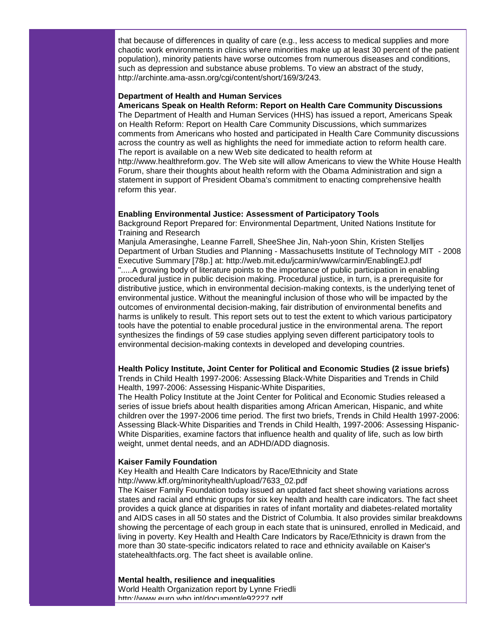that because of differences in quality of care (e.g., less access to medical supplies and more chaotic work environments in clinics where minorities make up at least 30 percent of the patient population), minority patients have worse outcomes from numerous diseases and conditions, such as depression and substance abuse problems. To view an abstract of the study, http://archinte.ama-assn.org/cgi/content/short/169/3/243.

#### **Department of Health and Human Services**

**Americans Speak on Health Reform: Report on Health Care Community Discussions** The Department of Health and Human Services (HHS) has issued a report, Americans Speak on Health Reform: Report on Health Care Community Discussions, which summarizes comments from Americans who hosted and participated in Health Care Community discussions across the country as well as highlights the need for immediate action to reform health care. The report is available on a new Web site dedicated to health reform at http://www.healthreform.gov. The Web site will allow Americans to view the White House Health Forum, share their thoughts about health reform with the Obama Administration and sign a statement in support of President Obama's commitment to enacting comprehensive health reform this year.

#### **Enabling Environmental Justice: Assessment of Participatory Tools**

Background Report Prepared for: Environmental Department, United Nations Institute for Training and Research

Manjula Amerasinghe, Leanne Farrell, SheeShee Jin, Nah-yoon Shin, Kristen Stelljes Department of Urban Studies and Planning - Massachusetts Institute of Technology MIT - 2008 Executive Summary [78p.] at: http://web.mit.edu/jcarmin/www/carmin/EnablingEJ.pdf ".....A growing body of literature points to the importance of public participation in enabling procedural justice in public decision making. Procedural justice, in turn, is a prerequisite for distributive justice, which in environmental decision-making contexts, is the underlying tenet of environmental justice. Without the meaningful inclusion of those who will be impacted by the outcomes of environmental decision-making, fair distribution of environmental benefits and harms is unlikely to result. This report sets out to test the extent to which various participatory tools have the potential to enable procedural justice in the environmental arena. The report synthesizes the findings of 59 case studies applying seven different participatory tools to environmental decision-making contexts in developed and developing countries.

#### **Health Policy Institute, Joint Center for Political and Economic Studies (2 issue briefs)**

Trends in Child Health 1997-2006: Assessing Black-White Disparities and Trends in Child Health, 1997-2006: Assessing Hispanic-White Disparities,

The Health Policy Institute at the Joint Center for Political and Economic Studies released a series of issue briefs about health disparities among African American, Hispanic, and white children over the 1997-2006 time period. The first two briefs, Trends in Child Health 1997-2006: Assessing Black-White Disparities and Trends in Child Health, 1997-2006: Assessing Hispanic-White Disparities, examine factors that influence health and quality of life, such as low birth weight, unmet dental needs, and an ADHD/ADD diagnosis.

#### **Kaiser Family Foundation**

Key Health and Health Care Indicators by Race/Ethnicity and State

http://www.kff.org/minorityhealth/upload/7633\_02.pdf

The Kaiser Family Foundation today issued an updated fact sheet showing variations across states and racial and ethnic groups for six key health and health care indicators. The fact sheet provides a quick glance at disparities in rates of infant mortality and diabetes-related mortality and AIDS cases in all 50 states and the District of Columbia. It also provides similar breakdowns showing the percentage of each group in each state that is uninsured, enrolled in Medicaid, and living in poverty. Key Health and Health Care Indicators by Race/Ethnicity is drawn from the more than 30 state-specific indicators related to race and ethnicity available on Kaiser's statehealthfacts.org. The fact sheet is available online.

**Mental health, resilience and inequalities**

World Health Organization report by Lynne Friedli httn<sup>.</sup>//www.euro.who.int/document/e92227.ndf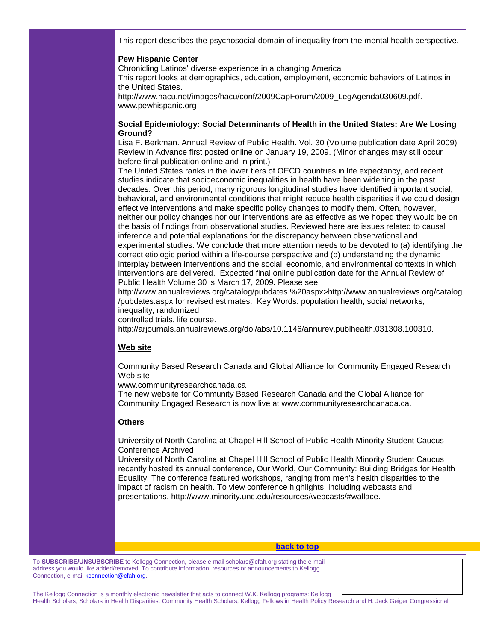This report describes the psychosocial domain of inequality from the mental health perspective.

## **Pew Hispanic Center**

Chronicling Latinos' diverse experience in a changing America

This report looks at demographics, education, employment, economic behaviors of Latinos in the United States.

http://www.hacu.net/images/hacu/conf/2009CapForum/2009\_LegAgenda030609.pdf. www.pewhispanic.org

# **Social Epidemiology: Social Determinants of Health in the United States: Are We Losing Ground?**

Lisa F. Berkman. Annual Review of Public Health. Vol. 30 (Volume publication date April 2009) Review in Advance first posted online on January 19, 2009. (Minor changes may still occur before final publication online and in print.)

The United States ranks in the lower tiers of OECD countries in life expectancy, and recent studies indicate that socioeconomic inequalities in health have been widening in the past decades. Over this period, many rigorous longitudinal studies have identified important social, behavioral, and environmental conditions that might reduce health disparities if we could design effective interventions and make specific policy changes to modify them. Often, however, neither our policy changes nor our interventions are as effective as we hoped they would be on the basis of findings from observational studies. Reviewed here are issues related to causal inference and potential explanations for the discrepancy between observational and experimental studies. We conclude that more attention needs to be devoted to (a) identifying the correct etiologic period within a life-course perspective and (b) understanding the dynamic interplay between interventions and the social, economic, and environmental contexts in which interventions are delivered. Expected final online publication date for the Annual Review of Public Health Volume 30 is March 17, 2009. Please see

http://www.annualreviews.org/catalog/pubdates.%20aspx>http://www.annualreviews.org/catalog /pubdates.aspx for revised estimates. Key Words: population health, social networks, inequality, randomized

controlled trials, life course.

http://arjournals.annualreviews.org/doi/abs/10.1146/annurev.publhealth.031308.100310.

# **Web site**

Community Based Research Canada and Global Alliance for Community Engaged Research Web site

www.communityresearchcanada.ca

The new website for Community Based Research Canada and the Global Alliance for Community Engaged Research is now live at www.communityresearchcanada.ca.

# **Others**

University of North Carolina at Chapel Hill School of Public Health Minority Student Caucus Conference Archived

University of North Carolina at Chapel Hill School of Public Health Minority Student Caucus recently hosted its annual conference, Our World, Our Community: Building Bridges for Health Equality. The conference featured workshops, ranging from men's health disparities to the impact of racism on health. To view conference highlights, including webcasts and presentations, http://www.minority.unc.edu/resources/webcasts/#wallace.

#### **[back to top](#page-0-2)**

To **SUBSCRIBE/UNSUBSCRIBE** to Kellogg Connection, please e-mai[l scholars@cfah.org](mailto:scholars@cfah.org) stating the e-mail address you would like added/removed. To contribute information, resources or announcements to Kellogg Connection, e-mai[l kconnection@cfah.org.](mailto:kconnection@cfah.org)

The Kellogg Connection is a monthly electronic newsletter that acts to connect W.K. Kellogg programs: Kellogg Health Scholars, Scholars in Health Disparities, Community Health Scholars, Kellogg Fellows in Health Policy Research and H. Jack Geiger Congressional